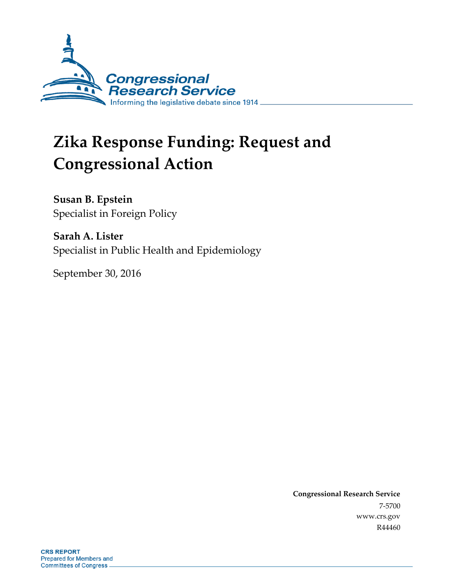

# **Zika Response Funding: Request and Congressional Action**

**Susan B. Epstein** Specialist in Foreign Policy

**Sarah A. Lister** Specialist in Public Health and Epidemiology

September 30, 2016

**Congressional Research Service** 7-5700 www.crs.gov R44460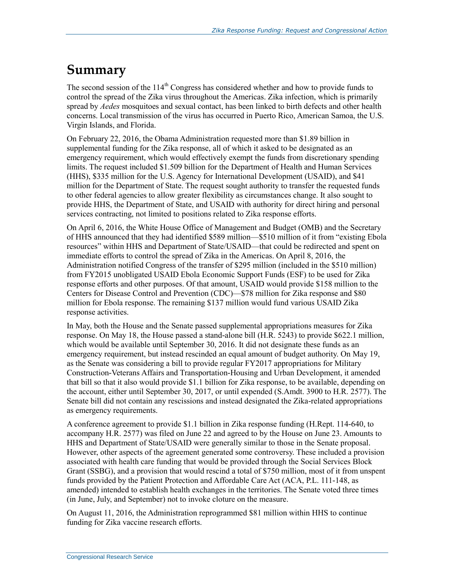## **Summary**

The second session of the  $114<sup>th</sup>$  Congress has considered whether and how to provide funds to control the spread of the Zika virus throughout the Americas. Zika infection, which is primarily spread by *Aedes* mosquitoes and sexual contact, has been linked to birth defects and other health concerns. Local transmission of the virus has occurred in Puerto Rico, American Samoa, the U.S. Virgin Islands, and Florida.

On February 22, 2016, the Obama Administration requested more than \$1.89 billion in supplemental funding for the Zika response, all of which it asked to be designated as an emergency requirement, which would effectively exempt the funds from discretionary spending limits. The request included \$1.509 billion for the Department of Health and Human Services (HHS), \$335 million for the U.S. Agency for International Development (USAID), and \$41 million for the Department of State. The request sought authority to transfer the requested funds to other federal agencies to allow greater flexibility as circumstances change. It also sought to provide HHS, the Department of State, and USAID with authority for direct hiring and personal services contracting, not limited to positions related to Zika response efforts.

On April 6, 2016, the White House Office of Management and Budget (OMB) and the Secretary of HHS announced that they had identified \$589 million—\$510 million of it from "existing Ebola resources" within HHS and Department of State/USAID—that could be redirected and spent on immediate efforts to control the spread of Zika in the Americas. On April 8, 2016, the Administration notified Congress of the transfer of \$295 million (included in the \$510 million) from FY2015 unobligated USAID Ebola Economic Support Funds (ESF) to be used for Zika response efforts and other purposes. Of that amount, USAID would provide \$158 million to the Centers for Disease Control and Prevention (CDC)—\$78 million for Zika response and \$80 million for Ebola response. The remaining \$137 million would fund various USAID Zika response activities.

In May, both the House and the Senate passed supplemental appropriations measures for Zika response. On May 18, the House passed a stand-alone bill (H.R. 5243) to provide \$622.1 million, which would be available until September 30, 2016. It did not designate these funds as an emergency requirement, but instead rescinded an equal amount of budget authority. On May 19, as the Senate was considering a bill to provide regular FY2017 appropriations for Military Construction-Veterans Affairs and Transportation-Housing and Urban Development, it amended that bill so that it also would provide \$1.1 billion for Zika response, to be available, depending on the account, either until September 30, 2017, or until expended (S.Amdt. 3900 to H.R. 2577). The Senate bill did not contain any rescissions and instead designated the Zika-related appropriations as emergency requirements.

A conference agreement to provide \$1.1 billion in Zika response funding (H.Rept. 114-640, to accompany H.R. 2577) was filed on June 22 and agreed to by the House on June 23. Amounts to HHS and Department of State/USAID were generally similar to those in the Senate proposal. However, other aspects of the agreement generated some controversy. These included a provision associated with health care funding that would be provided through the Social Services Block Grant (SSBG), and a provision that would rescind a total of \$750 million, most of it from unspent funds provided by the Patient Protection and Affordable Care Act (ACA, P.L. 111-148, as amended) intended to establish health exchanges in the territories. The Senate voted three times (in June, July, and September) not to invoke cloture on the measure.

On August 11, 2016, the Administration reprogrammed \$81 million within HHS to continue funding for Zika vaccine research efforts.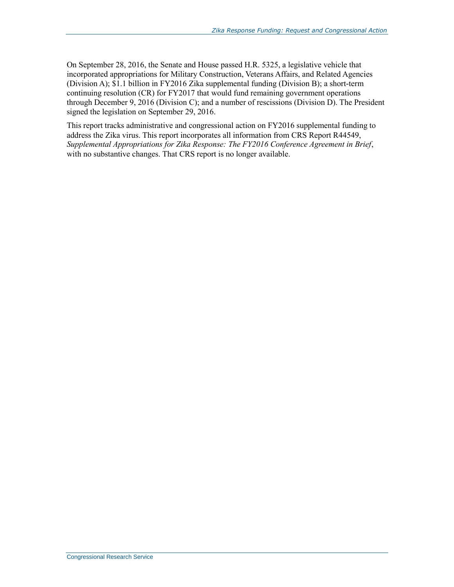On September 28, 2016, the Senate and House passed H.R. 5325, a legislative vehicle that incorporated appropriations for Military Construction, Veterans Affairs, and Related Agencies (Division A); \$1.1 billion in FY2016 Zika supplemental funding (Division B); a short-term continuing resolution (CR) for FY2017 that would fund remaining government operations through December 9, 2016 (Division C); and a number of rescissions (Division D). The President signed the legislation on September 29, 2016.

This report tracks administrative and congressional action on FY2016 supplemental funding to address the Zika virus. This report incorporates all information from CRS Report R44549, *Supplemental Appropriations for Zika Response: The FY2016 Conference Agreement in Brief*, with no substantive changes. That CRS report is no longer available.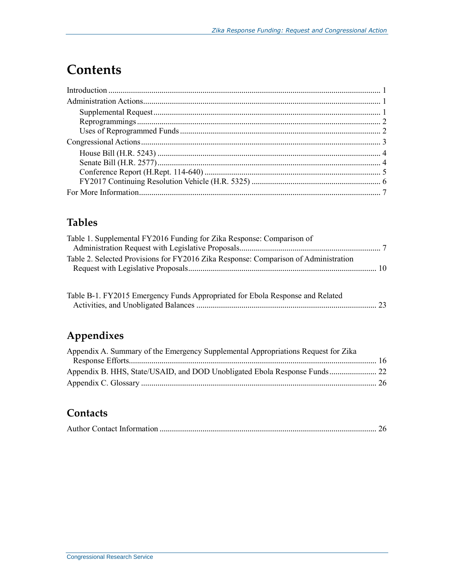## **Contents**

## **Tables**

| Table 1. Supplemental FY2016 Funding for Zika Response: Comparison of               |  |
|-------------------------------------------------------------------------------------|--|
|                                                                                     |  |
| Table 2. Selected Provisions for FY2016 Zika Response: Comparison of Administration |  |
|                                                                                     |  |

| Table B-1. FY2015 Emergency Funds Appropriated for Ebola Response and Related |  |
|-------------------------------------------------------------------------------|--|
|                                                                               |  |

## **Appendixes**

| Appendix A. Summary of the Emergency Supplemental Appropriations Request for Zika |  |
|-----------------------------------------------------------------------------------|--|
|                                                                                   |  |
| Appendix B. HHS, State/USAID, and DOD Unobligated Ebola Response Funds 22         |  |
|                                                                                   |  |
|                                                                                   |  |

### **Contacts**

|--|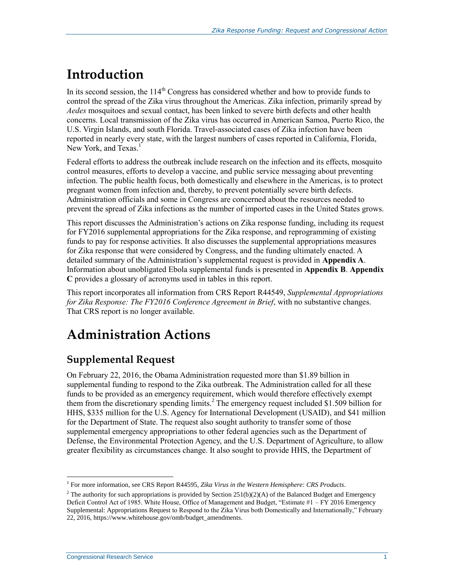## **Introduction**

In its second session, the  $114<sup>th</sup>$  Congress has considered whether and how to provide funds to control the spread of the Zika virus throughout the Americas. Zika infection, primarily spread by *Aedes* mosquitoes and sexual contact, has been linked to severe birth defects and other health concerns. Local transmission of the Zika virus has occurred in American Samoa, Puerto Rico, the U.S. Virgin Islands, and south Florida. Travel-associated cases of Zika infection have been reported in nearly every state, with the largest numbers of cases reported in California, Florida, New York, and Texas. $<sup>1</sup>$ </sup>

Federal efforts to address the outbreak include research on the infection and its effects, mosquito control measures, efforts to develop a vaccine, and public service messaging about preventing infection. The public health focus, both domestically and elsewhere in the Americas, is to protect pregnant women from infection and, thereby, to prevent potentially severe birth defects. Administration officials and some in Congress are concerned about the resources needed to prevent the spread of Zika infections as the number of imported cases in the United States grows.

This report discusses the Administration's actions on Zika response funding, including its request for FY2016 supplemental appropriations for the Zika response, and reprogramming of existing funds to pay for response activities. It also discusses the supplemental appropriations measures for Zika response that were considered by Congress, and the funding ultimately enacted. A detailed summary of the Administration's supplemental request is provided in **[Appendix A](#page-19-0)**. Information about unobligated Ebola supplemental funds is presented in **[Appendix B](#page-25-0)**. **[Appendix](#page-29-1)  [C](#page-29-1)** provides a glossary of acronyms used in tables in this report.

This report incorporates all information from CRS Report R44549, *Supplemental Appropriations for Zika Response: The FY2016 Conference Agreement in Brief*, with no substantive changes. That CRS report is no longer available.

## **Administration Actions**

## **Supplemental Request**

On February 22, 2016, the Obama Administration requested more than \$1.89 billion in supplemental funding to respond to the Zika outbreak. The Administration called for all these funds to be provided as an emergency requirement, which would therefore effectively exempt them from the discretionary spending limits.<sup>2</sup> The emergency request included \$1.509 billion for HHS, \$335 million for the U.S. Agency for International Development (USAID), and \$41 million for the Department of State. The request also sought authority to transfer some of those supplemental emergency appropriations to other federal agencies such as the Department of Defense, the Environmental Protection Agency, and the U.S. Department of Agriculture, to allow greater flexibility as circumstances change. It also sought to provide HHS, the Department of

 $\overline{a}$ <sup>1</sup> For more information, see CRS Report R44595, Zika Virus in the Western Hemisphere: CRS Products.

<sup>&</sup>lt;sup>2</sup> The authority for such appropriations is provided by Section 251(b)(2)(A) of the Balanced Budget and Emergency Deficit Control Act of 1985. White House, Office of Management and Budget, "Estimate #1 – FY 2016 Emergency Supplemental: Appropriations Request to Respond to the Zika Virus both Domestically and Internationally," February 22, 2016, https://www.whitehouse.gov/omb/budget\_amendments.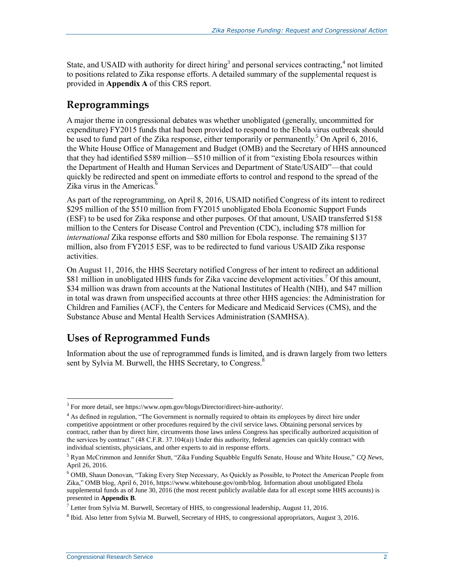State, and USAID with authority for direct hiring<sup>3</sup> and personal services contracting,<sup>4</sup> not limited to positions related to Zika response efforts. A detailed summary of the supplemental request is provided in **[Appendix A](#page-19-0)** of this CRS report.

### **Reprogrammings**

A major theme in congressional debates was whether unobligated (generally, uncommitted for expenditure) FY2015 funds that had been provided to respond to the Ebola virus outbreak should be used to fund part of the Zika response, either temporarily or permanently.<sup>5</sup> On April 6, 2016, the White House Office of Management and Budget (OMB) and the Secretary of HHS announced that they had identified \$589 million—\$510 million of it from "existing Ebola resources within the Department of Health and Human Services and Department of State/USAID"—that could quickly be redirected and spent on immediate efforts to control and respond to the spread of the Zika virus in the Americas.<sup>6</sup>

As part of the reprogramming, on April 8, 2016, USAID notified Congress of its intent to redirect \$295 million of the \$510 million from FY2015 unobligated Ebola Economic Support Funds (ESF) to be used for Zika response and other purposes. Of that amount, USAID transferred \$158 million to the Centers for Disease Control and Prevention (CDC), including \$78 million for *international* Zika response efforts and \$80 million for Ebola response. The remaining \$137 million, also from FY2015 ESF, was to be redirected to fund various USAID Zika response activities.

On August 11, 2016, the HHS Secretary notified Congress of her intent to redirect an additional \$81 million in unobligated HHS funds for Zika vaccine development activities.<sup>7</sup> Of this amount, \$34 million was drawn from accounts at the National Institutes of Health (NIH), and \$47 million in total was drawn from unspecified accounts at three other HHS agencies: the Administration for Children and Families (ACF), the Centers for Medicare and Medicaid Services (CMS), and the Substance Abuse and Mental Health Services Administration (SAMHSA).

### **Uses of Reprogrammed Funds**

Information about the use of reprogrammed funds is limited, and is drawn largely from two letters sent by Sylvia M. Burwell, the HHS Secretary, to Congress.<sup>8</sup>

<sup>&</sup>lt;sup>3</sup> For more detail, see https://www.opm.gov/blogs/Director/direct-hire-authority/.

<sup>&</sup>lt;sup>4</sup> As defined in regulation, "The Government is normally required to obtain its employees by direct hire under competitive appointment or other procedures required by the civil service laws. Obtaining personal services by contract, rather than by direct hire, circumvents those laws unless Congress has specifically authorized acquisition of the services by contract." (48 C.F.R. 37.104(a)) Under this authority, federal agencies can quickly contract with individual scientists, physicians, and other experts to aid in response efforts.

<sup>5</sup> Ryan McCrimmon and Jennifer Shutt, "Zika Funding Squabble Engulfs Senate, House and White House," *CQ News*, April 26, 2016.

<sup>&</sup>lt;sup>6</sup> OMB, Shaun Donovan, "Taking Every Step Necessary, As Quickly as Possible, to Protect the American People from Zika," OMB blog, April 6, 2016, https://www.whitehouse.gov/omb/blog. Information about unobligated Ebola supplemental funds as of June 30, 2016 (the most recent publicly available data for all except some HHS accounts) is presented in **[Appendix B](#page-25-0)**.

 $^7$  Letter from Sylvia M. Burwell, Secretary of HHS, to congressional leadership, August 11, 2016.

<sup>&</sup>lt;sup>8</sup> Ibid. Also letter from Sylvia M. Burwell, Secretary of HHS, to congressional appropriators, August 3, 2016.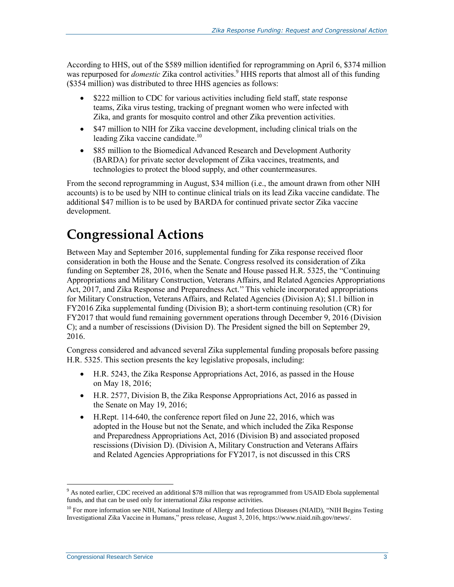According to HHS, out of the \$589 million identified for reprogramming on April 6, \$374 million was repurposed for *domestic* Zika control activities.<sup>9</sup> HHS reports that almost all of this funding (\$354 million) was distributed to three HHS agencies as follows:

- \$222 million to CDC for various activities including field staff, state response teams, Zika virus testing, tracking of pregnant women who were infected with Zika, and grants for mosquito control and other Zika prevention activities.
- \$47 million to NIH for Zika vaccine development, including clinical trials on the leading Zika vaccine candidate.<sup>10</sup>
- \$85 million to the Biomedical Advanced Research and Development Authority (BARDA) for private sector development of Zika vaccines, treatments, and technologies to protect the blood supply, and other countermeasures.

From the second reprogramming in August, \$34 million (i.e., the amount drawn from other NIH accounts) is to be used by NIH to continue clinical trials on its lead Zika vaccine candidate. The additional \$47 million is to be used by BARDA for continued private sector Zika vaccine development.

## **Congressional Actions**

Between May and September 2016, supplemental funding for Zika response received floor consideration in both the House and the Senate. Congress resolved its consideration of Zika funding on September 28, 2016, when the Senate and House passed [H.R. 5325,](http://www.congress.gov/cgi-lis/bdquery/z?d114:H.R.5325:) the "Continuing Appropriations and Military Construction, Veterans Affairs, and Related Agencies Appropriations Act, 2017, and Zika Response and Preparedness Act.'' This vehicle incorporated appropriations for Military Construction, Veterans Affairs, and Related Agencies (Division A); \$1.1 billion in FY2016 Zika supplemental funding (Division B); a short-term continuing resolution (CR) for FY2017 that would fund remaining government operations through December 9, 2016 (Division C); and a number of rescissions (Division D). The President signed the bill on September 29, 2016.

Congress considered and advanced several Zika supplemental funding proposals before passing H.R. 5325. This section presents the key legislative proposals, including:

- H.R. 5243, the Zika Response Appropriations Act, 2016, as passed in the House on May 18, 2016;
- [H.R. 2577,](http://www.congress.gov/cgi-lis/bdquery/z?d114:H.R.2577:) Division B, the Zika Response Appropriations Act, 2016 as passed in the Senate on May 19, 2016;
- H.Rept. 114-640, the conference report filed on June 22, 2016, which was adopted in the House but not the Senate, and which included the Zika Response and Preparedness Appropriations Act, 2016 (Division B) and associated proposed rescissions (Division D). (Division A, Military Construction and Veterans Affairs and Related Agencies Appropriations for FY2017, is not discussed in this CRS

<sup>&</sup>lt;sup>9</sup> As noted earlier, CDC received an additional \$78 million that was reprogrammed from USAID Ebola supplemental funds, and that can be used only for international Zika response activities.

<sup>&</sup>lt;sup>10</sup> For more information see NIH, National Institute of Allergy and Infectious Diseases (NIAID), "NIH Begins Testing Investigational Zika Vaccine in Humans," press release, August 3, 2016, https://www.niaid.nih.gov/news/.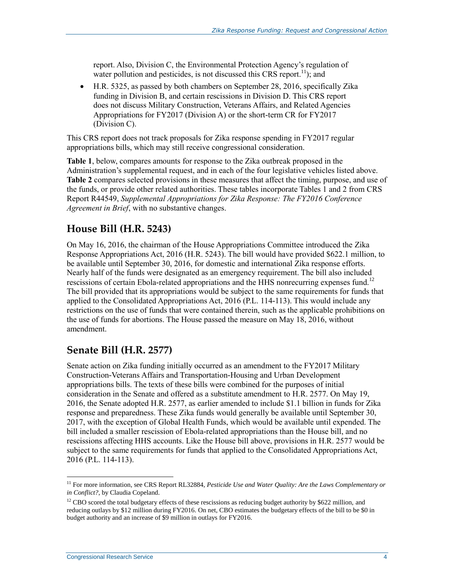report. Also, Division C, the Environmental Protection Agency's regulation of water pollution and pesticides, is not discussed this CRS report.<sup>11</sup>); and

 [H.R. 5325,](http://www.congress.gov/cgi-lis/bdquery/z?d114:H.R.5325:) as passed by both chambers on September 28, 2016, specifically Zika funding in Division B, and certain rescissions in Division D. This CRS report does not discuss Military Construction, Veterans Affairs, and Related Agencies Appropriations for FY2017 (Division A) or the short-term CR for FY2017 (Division C).

This CRS report does not track proposals for Zika response spending in FY2017 regular appropriations bills, which may still receive congressional consideration.

**[Table 1](#page-10-0)**, below, compares amounts for response to the Zika outbreak proposed in the Administration's supplemental request, and in each of the four legislative vehicles listed above. **[Table 2](#page-13-0)** compares selected provisions in these measures that affect the timing, purpose, and use of the funds, or provide other related authorities. These tables incorporate Tables 1 and 2 from CRS Report R44549, *Supplemental Appropriations for Zika Response: The FY2016 Conference Agreement in Brief*, with no substantive changes.

### **House Bill (H.R. 5243)**

On May 16, 2016, the chairman of the House Appropriations Committee introduced the Zika Response Appropriations Act, 2016 [\(H.R. 5243\)](http://www.congress.gov/cgi-lis/bdquery/z?d114:H.R.5243:). The bill would have provided \$622.1 million, to be available until September 30, 2016, for domestic and international Zika response efforts. Nearly half of the funds were designated as an emergency requirement. The bill also included rescissions of certain Ebola-related appropriations and the HHS nonrecurring expenses fund.<sup>12</sup> The bill provided that its appropriations would be subject to the same requirements for funds that applied to the Consolidated Appropriations Act, 2016 (P.L. 114-113). This would include any restrictions on the use of funds that were contained therein, such as the applicable prohibitions on the use of funds for abortions. The House passed the measure on May 18, 2016, without amendment.

### **Senate Bill (H.R. 2577)**

Senate action on Zika funding initially occurred as an amendment to the FY2017 Military Construction-Veterans Affairs and Transportation-Housing and Urban Development appropriations bills. The texts of these bills were combined for the purposes of initial consideration in the Senate and offered as a substitute amendment to [H.R. 2577.](http://www.congress.gov/cgi-lis/bdquery/z?d114:H.R.2577:) On May 19, 2016, the Senate adopted H.R. 2577, as earlier amended to include \$1.1 billion in funds for Zika response and preparedness. These Zika funds would generally be available until September 30, 2017, with the exception of Global Health Funds, which would be available until expended. The bill included a smaller rescission of Ebola-related appropriations than the House bill, and no rescissions affecting HHS accounts. Like the House bill above, provisions in H.R. 2577 would be subject to the same requirements for funds that applied to the Consolidated Appropriations Act, 2016 (P.L. 114-113).

<sup>&</sup>lt;sup>11</sup> For more information, see CRS Report RL32884, *Pesticide Use and Water Quality: Are the Laws Complementary or in Conflict?*, by Claudia Copeland.

<sup>&</sup>lt;sup>12</sup> CBO scored the total budgetary effects of these rescissions as reducing budget authority by \$622 million, and reducing outlays by \$12 million during FY2016. On net, CBO estimates the budgetary effects of the bill to be \$0 in budget authority and an increase of \$9 million in outlays for FY2016.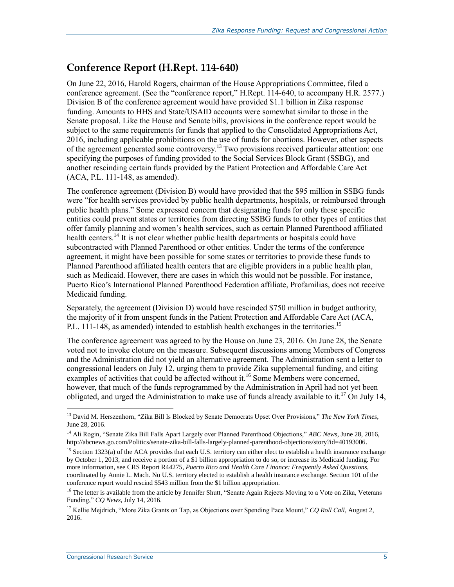### **Conference Report (H.Rept. 114-640)**

On June 22, 2016, Harold Rogers, chairman of the House Appropriations Committee, filed a conference agreement. (See the "conference report," [H.Rept. 114-640,](http://www.congress.gov/cgi-lis/cpquery/R?cp114:FLD010:@1(hr640):) to accompany H.R. 2577.) Division B of the conference agreement would have provided \$1.1 billion in Zika response funding. Amounts to HHS and State/USAID accounts were somewhat similar to those in the Senate proposal. Like the House and Senate bills, provisions in the conference report would be subject to the same requirements for funds that applied to the Consolidated Appropriations Act, 2016, including applicable prohibitions on the use of funds for abortions. However, other aspects of the agreement generated some controversy.<sup>13</sup> Two provisions received particular attention: one specifying the purposes of funding provided to the Social Services Block Grant (SSBG), and another rescinding certain funds provided by the Patient Protection and Affordable Care Act (ACA, [P.L. 111-148,](http://www.congress.gov/cgi-lis/bdquery/R?d111:FLD002:@1(111+148)) as amended).

The conference agreement (Division B) would have provided that the \$95 million in SSBG funds were "for health services provided by public health departments, hospitals, or reimbursed through public health plans." Some expressed concern that designating funds for only these specific entities could prevent states or territories from directing SSBG funds to other types of entities that offer family planning and women's health services, such as certain Planned Parenthood affiliated health centers.<sup>14</sup> It is not clear whether public health departments or hospitals could have subcontracted with Planned Parenthood or other entities. Under the terms of the conference agreement, it might have been possible for some states or territories to provide these funds to Planned Parenthood affiliated health centers that are eligible providers in a public health plan, such as Medicaid. However, there are cases in which this would not be possible. For instance, Puerto Rico's International Planned Parenthood Federation affiliate, Profamilias, does not receive Medicaid funding.

Separately, the agreement (Division D) would have rescinded \$750 million in budget authority, the majority of it from unspent funds in the Patient Protection and Affordable Care Act (ACA, P.L. 111-148, as amended) intended to establish health exchanges in the territories.<sup>15</sup>

The conference agreement was agreed to by the House on June 23, 2016. On June 28, the Senate voted not to invoke cloture on the measure. Subsequent discussions among Members of Congress and the Administration did not yield an alternative agreement. The Administration sent a letter to congressional leaders on July 12, urging them to provide Zika supplemental funding, and citing examples of activities that could be affected without it.<sup>16</sup> Some Members were concerned, however, that much of the funds reprogrammed by the Administration in April had not yet been obligated, and urged the Administration to make use of funds already available to it.<sup>17</sup> On July 14,

<sup>13</sup> David M. Herszenhorn, "Zika Bill Is Blocked by Senate Democrats Upset Over Provisions," *The New York Times*, June 28, 2016.

<sup>14</sup> Ali Rogin, "Senate Zika Bill Falls Apart Largely over Planned Parenthood Objections," *ABC News*, June 28, 2016, http://abcnews.go.com/Politics/senate-zika-bill-falls-largely-planned-parenthood-objections/story?id=40193006.

<sup>&</sup>lt;sup>15</sup> Section 1323(a) of the ACA provides that each U.S. territory can either elect to establish a health insurance exchange by October 1, 2013, and receive a portion of a \$1 billion appropriation to do so, or increase its Medicaid funding. For more information, see CRS Report R44275, *Puerto Rico and Health Care Finance: Frequently Asked Questions*, coordinated by Annie L. Mach. No U.S. territory elected to establish a health insurance exchange. Section 101 of the conference report would rescind \$543 million from the \$1 billion appropriation.

<sup>&</sup>lt;sup>16</sup> The letter is available from the article by Jennifer Shutt, "Senate Again Rejects Moving to a Vote on Zika, Veterans Funding," *CQ News*, July 14, 2016.

<sup>&</sup>lt;sup>17</sup> Kellie Mejdrich, "More Zika Grants on Tap, as Objections over Spending Pace Mount," *CQ Roll Call*, August 2, 2016.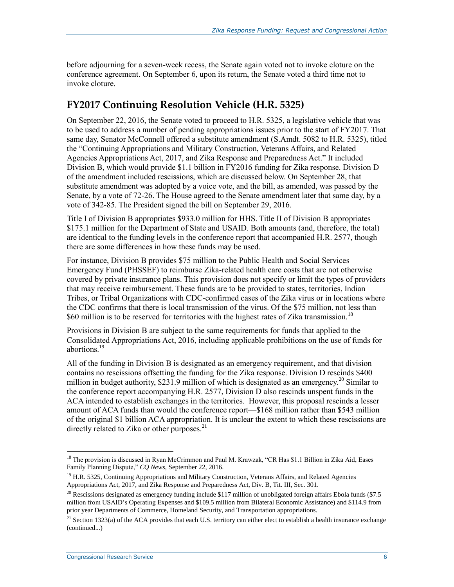before adjourning for a seven-week recess, the Senate again voted not to invoke cloture on the conference agreement. On September 6, upon its return, the Senate voted a third time not to invoke cloture.

### **FY2017 Continuing Resolution Vehicle (H.R. 5325)**

On September 22, 2016, the Senate voted to proceed to H.R. 5325, a legislative vehicle that was to be used to address a number of pending appropriations issues prior to the start of FY2017. That same day, Senator McConnell offered a substitute amendment [\(S.Amdt. 5082](http://www.congress.gov/cgi-lis/bdquery/z?d114:S.Amdt.5082:) to H.R. 5325), titled the "Continuing Appropriations and Military Construction, Veterans Affairs, and Related Agencies Appropriations Act, 2017, and Zika Response and Preparedness Act." It included Division B, which would provide \$1.1 billion in FY2016 funding for Zika response. Division D of the amendment included rescissions, which are discussed below. On September 28, that substitute amendment was adopted by a voice vote, and the bill, as amended, was passed by the Senate, by a vote of 72-26. The House agreed to the Senate amendment later that same day, by a vote of 342-85. The President signed the bill on September 29, 2016.

Title I of Division B appropriates \$933.0 million for HHS. Title II of Division B appropriates \$175.1 million for the Department of State and USAID. Both amounts (and, therefore, the total) are identical to the funding levels in the conference report that accompanied H.R. 2577, though there are some differences in how these funds may be used.

For instance, Division B provides \$75 million to the Public Health and Social Services Emergency Fund (PHSSEF) to reimburse Zika-related health care costs that are not otherwise covered by private insurance plans. This provision does not specify or limit the types of providers that may receive reimbursement. These funds are to be provided to states, territories, Indian Tribes, or Tribal Organizations with CDC-confirmed cases of the Zika virus or in locations where the CDC confirms that there is local transmission of the virus. Of the \$75 million, not less than \$60 million is to be reserved for territories with the highest rates of Zika transmission.<sup>18</sup>

Provisions in Division B are subject to the same requirements for funds that applied to the Consolidated Appropriations Act, 2016, including applicable prohibitions on the use of funds for abortions.<sup>19</sup>

All of the funding in Division B is designated as an emergency requirement, and that division contains no rescissions offsetting the funding for the Zika response. Division D rescinds \$400 million in budget authority, \$231.9 million of which is designated as an emergency.<sup>20</sup> Similar to the conference report accompanying H.R. 2577, Division D also rescinds unspent funds in the ACA intended to establish exchanges in the territories. However, this proposal rescinds a lesser amount of ACA funds than would the conference report—\$168 million rather than \$543 million of the original \$1 billion ACA appropriation. It is unclear the extent to which these rescissions are directly related to Zika or other purposes. $^{21}$ 

<sup>&</sup>lt;sup>18</sup> The provision is discussed in Ryan McCrimmon and Paul M. Krawzak, "CR Has \$1.1 Billion in Zika Aid, Eases Family Planning Dispute," *CQ News*, September 22, 2016.

<sup>&</sup>lt;sup>19</sup> H.R. 5325, Continuing Appropriations and Military Construction, Veterans Affairs, and Related Agencies Appropriations Act, 2017, and Zika Response and Preparedness Act, Div. B, Tit. III, Sec. 301.

<sup>&</sup>lt;sup>20</sup> Rescissions designated as emergency funding include \$117 million of unobligated foreign affairs Ebola funds (\$7.5) million from USAID's Operating Expenses and \$109.5 million from Bilateral Economic Assistance) and \$114.9 from prior year Departments of Commerce, Homeland Security, and Transportation appropriations.

<sup>&</sup>lt;sup>21</sup> Section 1323(a) of the ACA provides that each U.S. territory can either elect to establish a health insurance exchange (continued...)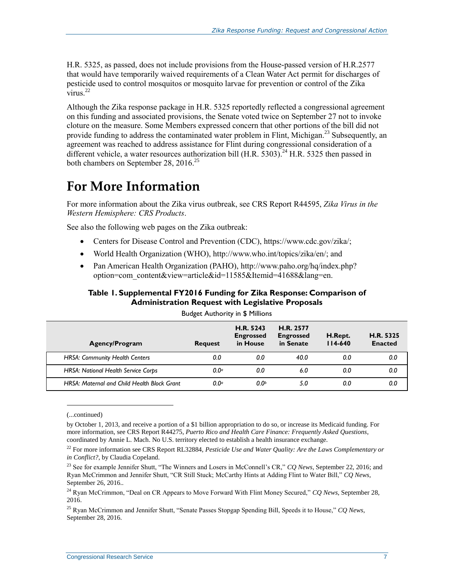H.R. 5325, as passed, does not include provisions from the House-passed version of H.R.2577 that would have temporarily waived requirements of a Clean Water Act permit for discharges of pesticide used to control mosquitos or mosquito larvae for prevention or control of the Zika  $\nu$ irus.<sup>22</sup>

Although the Zika response package in H.R. 5325 reportedly reflected a congressional agreement on this funding and associated provisions, the Senate voted twice on September 27 not to invoke cloture on the measure. Some Members expressed concern that other portions of the bill did not provide funding to address the contaminated water problem in Flint, Michigan.<sup>23</sup> Subsequently, an agreement was reached to address assistance for Flint during congressional consideration of a different vehicle, a water resources authorization bill [\(H.R. 5303\)](http://www.congress.gov/cgi-lis/bdquery/z?d114:H.R.5303:).<sup>24</sup> H.R. 5325 then passed in both chambers on September 28, 2016.<sup>25</sup>

## **For More Information**

For more information about the Zika virus outbreak, see CRS Report R44595, *[Zika Virus in the](http://www.crs.gov/Reports/R44595)  [Western Hemisphere: CRS Products](http://www.crs.gov/Reports/R44595)*.

See also the following web pages on the Zika outbreak:

- Centers for Disease Control and Prevention (CDC), https://www.cdc.gov/zika/;
- World Health Organization (WHO), [http://www.who.int/topics/zika/en/;](http://www.who.int/topics/zika/en/) and
- Pan American Health Organization (PAHO), http://www.paho.org/hq/index.php? option=com\_content&view=article&id=11585&Itemid=41688&lang=en.

#### <span id="page-10-0"></span>**Table 1. Supplemental FY2016 Funding for Zika Response: Comparison of Administration Request with Legislative Proposals**

| <b>Agency/Program</b>                              | <b>Request</b>   | H.R. 5243<br><b>Engrossed</b><br>in House | H.R. 2577<br><b>Engrossed</b><br>in Senate | H.Rept.<br>$114-640$ | H.R. 5325<br><b>Enacted</b> |
|----------------------------------------------------|------------------|-------------------------------------------|--------------------------------------------|----------------------|-----------------------------|
| <b>HRSA: Community Health Centers</b>              | 0.0              | 0.0                                       | 40.0                                       | 0.0                  | 0.0                         |
| <b>HRSA: National Health Service Corps</b>         | $0.0^\circ$      | 0.0                                       | 6.0                                        | 0.0                  | 0.0                         |
| <b>HRSA: Maternal and Child Health Block Grant</b> | 0.0 <sup>a</sup> | 0.0 <sup>b</sup>                          | 5.0                                        | 0.0                  | 0.0                         |

Budget Authority in \$ Millions

<sup>(...</sup>continued)

by October 1, 2013, and receive a portion of a \$1 billion appropriation to do so, or increase its Medicaid funding. For more information, see CRS Report R44275, *Puerto Rico and Health Care Finance: Frequently Asked Questions*, coordinated by Annie L. Mach. No U.S. territory elected to establish a health insurance exchange.

<sup>&</sup>lt;sup>22</sup> For more information see CRS Report RL32884, *Pesticide Use and Water Quality: Are the Laws Complementary or in Conflict?*, by Claudia Copeland.

<sup>23</sup> See for example Jennifer Shutt, "The Winners and Losers in McConnell's CR," *CQ News,* September 22, 2016; and Ryan McCrimmon and Jennifer Shutt, "CR Still Stuck; McCarthy Hints at Adding Flint to Water Bill," *CQ News,* September 26, 2016..

<sup>24</sup> Ryan McCrimmon, "Deal on CR Appears to Move Forward With Flint Money Secured," *CQ News*, September 28, 2016.

<sup>25</sup> Ryan McCrimmon and Jennifer Shutt, "Senate Passes Stopgap Spending Bill, Speeds it to House," *CQ News*, September 28, 2016.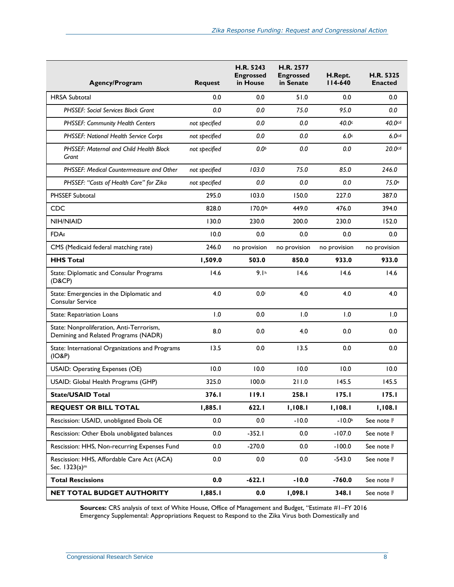| <b>Agency/Program</b>                                                            | <b>Request</b> | <b>H.R. 5243</b><br><b>Engrossed</b><br>in House | <b>H.R. 2577</b><br><b>Engrossed</b><br>in Senate | H.Rept.<br>$114-640$ | <b>H.R. 5325</b><br><b>Enacted</b> |
|----------------------------------------------------------------------------------|----------------|--------------------------------------------------|---------------------------------------------------|----------------------|------------------------------------|
| <b>HRSA Subtotal</b>                                                             | 0.0            | 0.0                                              | 51.0                                              | 0.0                  | 0.0                                |
| <b>PHSSEF: Social Services Block Grant</b>                                       | 0.0            | 0.0                                              | 75.0                                              | 95.0                 | 0.0                                |
| PHSSEF: Community Health Centers                                                 | not specified  | 0.0                                              | 0.0                                               | 40.0 <sup>c</sup>    | 40.0cd                             |
| PHSSEF: National Health Service Corps                                            | not specified  | 0.0                                              | 0.0                                               | 6.0 <sub>c</sub>     | 6.0 <sub>cd</sub>                  |
| <b>PHSSEF: Maternal and Child Health Block</b><br>Grant                          | not specified  | 0.0 <sup>b</sup>                                 | 0.0                                               | 0.0                  | 20.0cd                             |
| PHSSEF: Medical Countermeasure and Other                                         | not specified  | 103.0                                            | 75.0                                              | 85.0                 | 246.0                              |
| PHSSEF: "Costs of Health Care" for Zika                                          | not specified  | 0.0                                              | 0.0                                               | 0.0                  | 75.0 <sup>e</sup>                  |
| <b>PHSSEF Subtotal</b>                                                           | 295.0          | 103.0                                            | 150.0                                             | 227.0                | 387.0                              |
| <b>CDC</b>                                                                       | 828.0          | 170.0 <sup>fb</sup>                              | 449.0                                             | 476.0                | 394.0                              |
| <b>NIH/NIAID</b>                                                                 | 130.0          | 230.0                                            | 200.0                                             | 230.0                | 152.0                              |
| FDA <sup>g</sup>                                                                 | 10.0           | 0.0                                              | 0.0                                               | 0.0                  | 0.0                                |
| CMS (Medicaid federal matching rate)                                             | 246.0          | no provision                                     | no provision                                      | no provision         | no provision                       |
| <b>HHS Total</b>                                                                 | 1,509.0        | 503.0                                            | 850.0                                             | 933.0                | 933.0                              |
| State: Diplomatic and Consular Programs<br>(D&CP)                                | 14.6           | 9.1 <sup>h</sup>                                 | 14.6                                              | 14.6                 | 14.6                               |
| State: Emergencies in the Diplomatic and<br><b>Consular Service</b>              | 4.0            | 0.0                                              | 4.0                                               | 4.0                  | 4.0                                |
| State: Repatriation Loans                                                        | 1.0            | 0.0                                              | 1.0                                               | 1.0                  | 1.0                                |
| State: Nonproliferation, Anti-Terrorism,<br>Demining and Related Programs (NADR) | 8.0            | 0.0                                              | 4.0                                               | 0.0                  | 0.0                                |
| State: International Organizations and Programs<br>(IO&P)                        | 13.5           | 0.0                                              | 13.5                                              | 0.0                  | 0.0                                |
| <b>USAID: Operating Expenses (OE)</b>                                            | 10.0           | 10.0                                             | 10.0                                              | 10.0                 | 10.0                               |
| USAID: Global Health Programs (GHP)                                              | 325.0          | 100.0                                            | 211.0                                             | 145.5                | 145.5                              |
| <b>State/USAID Total</b>                                                         | 376.I          | 119.1                                            | 258.I                                             | 175.1                | 175.1                              |
| <b>REQUEST OR BILL TOTAL</b>                                                     | 1,885.1        | 622.I                                            | 1,108.1                                           | 1,108.1              | 1,108.1                            |
| Rescission: USAID, unobligated Ebola OE                                          | 0.0            | 0.0                                              | $-10.0$                                           | $-10.0k$             | See note I                         |
| Rescission: Other Ebola unobligated balances                                     | 0.0            | $-352.1$                                         | 0.0                                               | $-107.0$             | See note I                         |
| Rescission: HHS, Non-recurring Expenses Fund                                     | 0.0            | $-270.0$                                         | 0.0                                               | $-100.0$             | See note I                         |
| Rescission: HHS, Affordable Care Act (ACA)<br>Sec. 1323(a) <sup>m</sup>          | 0.0            | 0.0                                              | 0.0                                               | $-543.0$             | See note I                         |
| <b>Total Rescissions</b>                                                         | 0.0            | $-622.1$                                         | $-10.0$                                           | $-760.0$             | See note I                         |
| NET TOTAL BUDGET AUTHORITY                                                       | 1,885.1        | 0.0                                              | 1,098.1                                           | 348.I                | See note I                         |

**Sources:** CRS analysis of text of White House, Office of Management and Budget, "Estimate #1–FY 2016 Emergency Supplemental: Appropriations Request to Respond to the Zika Virus both Domestically and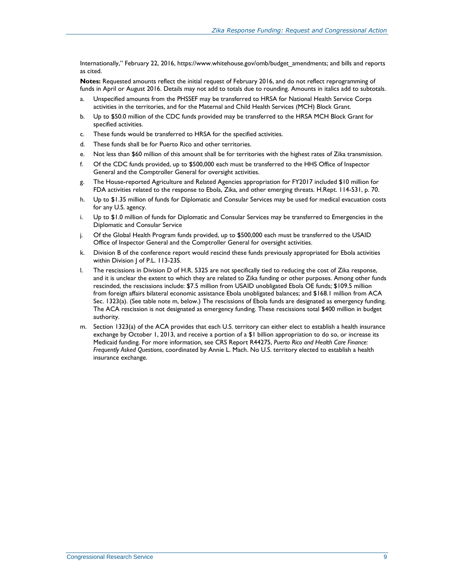Internationally," February 22, 2016, https://www.whitehouse.gov/omb/budget\_amendments; and bills and reports as cited.

**Notes:** Requested amounts reflect the initial request of February 2016, and do not reflect reprogramming of funds in April or August 2016. Details may not add to totals due to rounding. Amounts in italics add to subtotals.

- <span id="page-12-0"></span>a. Unspecified amounts from the PHSSEF may be transferred to HRSA for National Health Service Corps activities in the territories, and for the Maternal and Child Health Services (MCH) Block Grant.
- <span id="page-12-1"></span>b. Up to \$50.0 million of the CDC funds provided may be transferred to the HRSA MCH Block Grant for specified activities.
- <span id="page-12-2"></span>c. These funds would be transferred to HRSA for the specified activities.
- d. These funds shall be for Puerto Rico and other territories.
- <span id="page-12-3"></span>e. Not less than \$60 million of this amount shall be for territories with the highest rates of Zika transmission.
- <span id="page-12-4"></span>f. Of the CDC funds provided, up to \$500,000 each must be transferred to the HHS Office of Inspector General and the Comptroller General for oversight activities.
- <span id="page-12-5"></span>g. The House-reported Agriculture and Related Agencies appropriation for FY2017 included \$10 million for FDA activities related to the response to Ebola, Zika, and other emerging threats. H.Rept. 114-531, p. 70.
- <span id="page-12-6"></span>h. Up to \$1.35 million of funds for Diplomatic and Consular Services may be used for medical evacuation costs for any U.S. agency.
- <span id="page-12-7"></span>i. Up to \$1.0 million of funds for Diplomatic and Consular Services may be transferred to Emergencies in the Diplomatic and Consular Service
- <span id="page-12-8"></span>j. Of the Global Health Program funds provided, up to \$500,000 each must be transferred to the USAID Office of Inspector General and the Comptroller General for oversight activities.
- <span id="page-12-9"></span>k. Division B of the conference report would rescind these funds previously appropriated for Ebola activities within Division | of P.L. 113-235.
- <span id="page-12-10"></span>l. The rescissions in Division D of H.R. 5325 are not specifically tied to reducing the cost of Zika response, and it is unclear the extent to which they are related to Zika funding or other purposes. Among other funds rescinded, the rescissions include: \$7.5 million from USAID unobligated Ebola OE funds; \$109.5 million from foreign affairs bilateral economic assistance Ebola unobligated balances; and \$168.1 million from ACA Sec. 1323(a). (See table note m, below.) The rescissions of Ebola funds are designated as emergency funding. The ACA rescission is not designated as emergency funding. These rescissions total \$400 million in budget authority.
- <span id="page-12-11"></span>m. Section 1323(a) of the ACA provides that each U.S. territory can either elect to establish a health insurance exchange by October 1, 2013, and receive a portion of a \$1 billion appropriation to do so, or increase its Medicaid funding. For more information, see CRS Report R44275, *Puerto Rico and Health Care Finance: Frequently Asked Questions*, coordinated by Annie L. Mach. No U.S. territory elected to establish a health insurance exchange.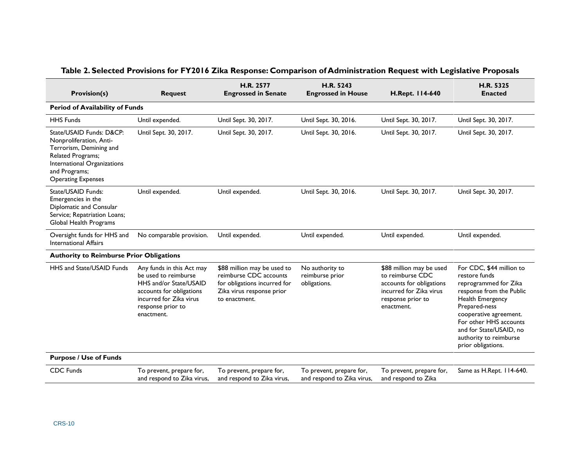<span id="page-13-0"></span>

| <b>Provision(s)</b>                                                                                                                                                              | <b>Request</b>                                                                                                                                                        | H.R. 2577<br><b>Engrossed in Senate</b>                                                                                             | H.R. 5243<br><b>Engrossed in House</b>                 | H.Rept. 114-640                                                                                                                        | H.R. 5325<br><b>Enacted</b>                                                                                                                                                                                                                                        |
|----------------------------------------------------------------------------------------------------------------------------------------------------------------------------------|-----------------------------------------------------------------------------------------------------------------------------------------------------------------------|-------------------------------------------------------------------------------------------------------------------------------------|--------------------------------------------------------|----------------------------------------------------------------------------------------------------------------------------------------|--------------------------------------------------------------------------------------------------------------------------------------------------------------------------------------------------------------------------------------------------------------------|
| <b>Period of Availability of Funds</b>                                                                                                                                           |                                                                                                                                                                       |                                                                                                                                     |                                                        |                                                                                                                                        |                                                                                                                                                                                                                                                                    |
| <b>HHS Funds</b>                                                                                                                                                                 | Until expended.                                                                                                                                                       | Until Sept. 30, 2017.                                                                                                               | Until Sept. 30, 2016.                                  | Until Sept. 30, 2017.                                                                                                                  | Until Sept. 30, 2017.                                                                                                                                                                                                                                              |
| State/USAID Funds: D&CP:<br>Nonproliferation, Anti-<br>Terrorism, Demining and<br>Related Programs;<br>International Organizations<br>and Programs;<br><b>Operating Expenses</b> | Until Sept. 30, 2017.                                                                                                                                                 | Until Sept. 30, 2017.                                                                                                               | Until Sept. 30, 2016.                                  | Until Sept. 30, 2017.                                                                                                                  | Until Sept. 30, 2017.                                                                                                                                                                                                                                              |
| State/USAID Funds:<br>Emergencies in the<br>Diplomatic and Consular<br>Service; Repatriation Loans;<br>Global Health Programs                                                    | Until expended.                                                                                                                                                       | Until expended.                                                                                                                     | Until Sept. 30, 2016.                                  | Until Sept. 30, 2017.                                                                                                                  | Until Sept. 30, 2017.                                                                                                                                                                                                                                              |
| Oversight funds for HHS and<br><b>International Affairs</b>                                                                                                                      | No comparable provision.                                                                                                                                              | Until expended.                                                                                                                     | Until expended.                                        | Until expended.                                                                                                                        | Until expended.                                                                                                                                                                                                                                                    |
| <b>Authority to Reimburse Prior Obligations</b>                                                                                                                                  |                                                                                                                                                                       |                                                                                                                                     |                                                        |                                                                                                                                        |                                                                                                                                                                                                                                                                    |
| HHS and State/USAID Funds                                                                                                                                                        | Any funds in this Act may<br>be used to reimburse<br>HHS and/or State/USAID<br>accounts for obligations<br>incurred for Zika virus<br>response prior to<br>enactment. | \$88 million may be used to<br>reimburse CDC accounts<br>for obligations incurred for<br>Zika virus response prior<br>to enactment. | No authority to<br>reimburse prior<br>obligations.     | \$88 million may be used<br>to reimburse CDC<br>accounts for obligations<br>incurred for Zika virus<br>response prior to<br>enactment. | For CDC, \$44 million to<br>restore funds<br>reprogrammed for Zika<br>response from the Public<br>Health Emergency<br>Prepared-ness<br>cooperative agreement.<br>For other HHS accounts<br>and for State/USAID, no<br>authority to reimburse<br>prior obligations. |
| <b>Purpose / Use of Funds</b>                                                                                                                                                    |                                                                                                                                                                       |                                                                                                                                     |                                                        |                                                                                                                                        |                                                                                                                                                                                                                                                                    |
| <b>CDC</b> Funds                                                                                                                                                                 | To prevent, prepare for,<br>and respond to Zika virus,                                                                                                                | To prevent, prepare for,<br>and respond to Zika virus,                                                                              | To prevent, prepare for,<br>and respond to Zika virus, | To prevent, prepare for,<br>and respond to Zika                                                                                        | Same as H.Rept. 114-640.                                                                                                                                                                                                                                           |

### **Table 2. Selected Provisions for FY2016 Zika Response: Comparison of Administration Request with Legislative Proposals**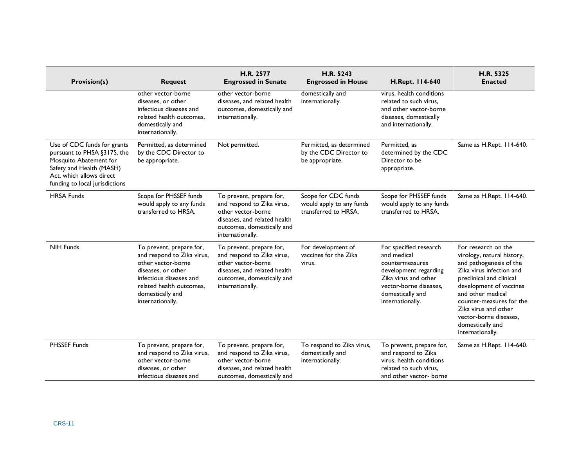| <b>Provision(s)</b>                                                                                                                                                            | <b>Request</b>                                                                                                                                                                                    | H.R. 2577<br><b>Engrossed in Senate</b>                                                                                                                        | H.R. 5243<br><b>Engrossed in House</b>                                  | H.Rept. 114-640                                                                                                                                                             | H.R. 5325<br><b>Enacted</b>                                                                                                                                                                                                                                                                                |
|--------------------------------------------------------------------------------------------------------------------------------------------------------------------------------|---------------------------------------------------------------------------------------------------------------------------------------------------------------------------------------------------|----------------------------------------------------------------------------------------------------------------------------------------------------------------|-------------------------------------------------------------------------|-----------------------------------------------------------------------------------------------------------------------------------------------------------------------------|------------------------------------------------------------------------------------------------------------------------------------------------------------------------------------------------------------------------------------------------------------------------------------------------------------|
|                                                                                                                                                                                | other vector-borne<br>diseases, or other<br>infectious diseases and<br>related health outcomes.<br>domestically and<br>internationally.                                                           | other vector-borne<br>diseases, and related health<br>outcomes, domestically and<br>internationally.                                                           | domestically and<br>internationally.                                    | virus, health conditions<br>related to such virus.<br>and other vector-borne<br>diseases, domestically<br>and internationally.                                              |                                                                                                                                                                                                                                                                                                            |
| Use of CDC funds for grants<br>pursuant to PHSA §317S, the<br>Mosquito Abatement for<br>Safety and Health (MASH)<br>Act, which allows direct<br>funding to local jurisdictions | Permitted, as determined<br>by the CDC Director to<br>be appropriate.                                                                                                                             | Not permitted.                                                                                                                                                 | Permitted, as determined<br>by the CDC Director to<br>be appropriate.   | Permitted, as<br>determined by the CDC<br>Director to be<br>appropriate.                                                                                                    | Same as H.Rept. 114-640.                                                                                                                                                                                                                                                                                   |
| <b>HRSA Funds</b>                                                                                                                                                              | Scope for PHSSEF funds<br>would apply to any funds<br>transferred to HRSA.                                                                                                                        | To prevent, prepare for,<br>and respond to Zika virus,<br>other vector-borne<br>diseases, and related health<br>outcomes, domestically and<br>internationally. | Scope for CDC funds<br>would apply to any funds<br>transferred to HRSA. | Scope for PHSSEF funds<br>would apply to any funds<br>transferred to HRSA.                                                                                                  | Same as H.Rept. 114-640.                                                                                                                                                                                                                                                                                   |
| <b>NIH Funds</b>                                                                                                                                                               | To prevent, prepare for,<br>and respond to Zika virus,<br>other vector-borne<br>diseases, or other<br>infectious diseases and<br>related health outcomes.<br>domestically and<br>internationally. | To prevent, prepare for,<br>and respond to Zika virus,<br>other vector-borne<br>diseases, and related health<br>outcomes, domestically and<br>internationally. | For development of<br>vaccines for the Zika<br>virus.                   | For specified research<br>and medical<br>countermeasures<br>development regarding<br>Zika virus and other<br>vector-borne diseases.<br>domestically and<br>internationally. | For research on the<br>virology, natural history,<br>and pathogenesis of the<br>Zika virus infection and<br>preclinical and clinical<br>development of vaccines<br>and other medical<br>counter-measures for the<br>Zika virus and other<br>vector-borne diseases,<br>domestically and<br>internationally. |
| PHSSEF Funds                                                                                                                                                                   | To prevent, prepare for,<br>and respond to Zika virus,<br>other vector-borne<br>diseases, or other<br>infectious diseases and                                                                     | To prevent, prepare for,<br>and respond to Zika virus,<br>other vector-borne<br>diseases, and related health<br>outcomes, domestically and                     | To respond to Zika virus,<br>domestically and<br>internationally.       | To prevent, prepare for,<br>and respond to Zika<br>virus, health conditions<br>related to such virus,<br>and other vector- borne                                            | Same as H.Rept. 114-640.                                                                                                                                                                                                                                                                                   |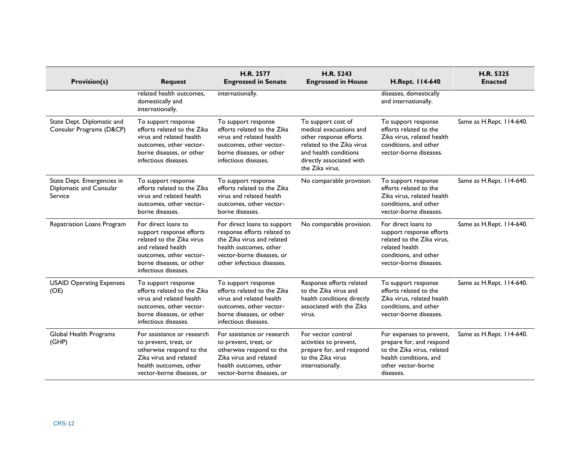| <b>Provision(s)</b>                                              | <b>Request</b>                                                                                                                                                                    | H.R. 2577<br><b>Engrossed in Senate</b>                                                                                                                                       | H.R. 5243<br><b>Engrossed in House</b>                                                                                                                                       | H.Rept. 114-640                                                                                                                                    | H.R. 5325<br><b>Enacted</b> |
|------------------------------------------------------------------|-----------------------------------------------------------------------------------------------------------------------------------------------------------------------------------|-------------------------------------------------------------------------------------------------------------------------------------------------------------------------------|------------------------------------------------------------------------------------------------------------------------------------------------------------------------------|----------------------------------------------------------------------------------------------------------------------------------------------------|-----------------------------|
|                                                                  | related health outcomes.<br>domestically and<br>internationally.                                                                                                                  | internationally.                                                                                                                                                              |                                                                                                                                                                              | diseases, domestically<br>and internationally.                                                                                                     |                             |
| State Dept. Diplomatic and<br>Consular Programs (D&CP)           | To support response<br>efforts related to the Zika<br>virus and related health<br>outcomes, other vector-<br>borne diseases, or other<br>infectious diseases.                     | To support response<br>efforts related to the Zika<br>virus and related health<br>outcomes, other vector-<br>borne diseases, or other<br>infectious diseases.                 | To support cost of<br>medical evacuations and<br>other response efforts<br>related to the Zika virus<br>and health conditions<br>directly associated with<br>the Zika virus. | To support response<br>efforts related to the<br>Zika virus, related health<br>conditions, and other<br>vector-borne diseases.                     | Same as H.Rept. 114-640.    |
| State Dept. Emergencies in<br>Diplomatic and Consular<br>Service | To support response<br>efforts related to the Zika<br>virus and related health<br>outcomes, other vector-<br>borne diseases.                                                      | To support response<br>efforts related to the Zika<br>virus and related health<br>outcomes, other vector-<br>borne diseases.                                                  | No comparable provision.                                                                                                                                                     | To support response<br>efforts related to the<br>Zika virus, related health<br>conditions, and other<br>vector-borne diseases.                     | Same as H.Rept. 114-640.    |
| Repatriation Loans Program                                       | For direct loans to<br>support response efforts<br>related to the Zika virus<br>and related health<br>outcomes, other vector-<br>borne diseases, or other<br>infectious diseases. | For direct loans to support<br>response efforts related to<br>the Zika virus and related<br>health outcomes, other<br>vector-borne diseases, or<br>other infectious diseases. | No comparable provision.                                                                                                                                                     | For direct loans to<br>support response efforts<br>related to the Zika virus,<br>related health<br>conditions, and other<br>vector-borne diseases. | Same as H.Rept. 114-640.    |
| <b>USAID Operating Expenses</b><br>(OE)                          | To support response<br>efforts related to the Zika<br>virus and related health<br>outcomes, other vector-<br>borne diseases, or other<br>infectious diseases.                     | To support response<br>efforts related to the Zika<br>virus and related health<br>outcomes, other vector-<br>borne diseases, or other<br>infectious diseases.                 | Response efforts related<br>to the Zika virus and<br>health conditions directly<br>associated with the Zika<br>virus.                                                        | To support response<br>efforts related to the<br>Zika virus, related health<br>conditions, and other<br>vector-borne diseases.                     | Same as H.Rept. 114-640.    |
| Global Health Programs<br>(GHP)                                  | For assistance or research<br>to prevent, treat, or<br>otherwise respond to the<br>Zika virus and related<br>health outcomes, other<br>vector-borne diseases, or                  | For assistance or research<br>to prevent, treat, or<br>otherwise respond to the<br>Zika virus and related<br>health outcomes, other<br>vector-borne diseases, or              | For vector control<br>activities to prevent,<br>prepare for, and respond<br>to the Zika virus<br>internationally.                                                            | For expenses to prevent,<br>prepare for, and respond<br>to the Zika virus, related<br>health conditions, and<br>other vector-borne<br>diseases.    | Same as H.Rept. 114-640.    |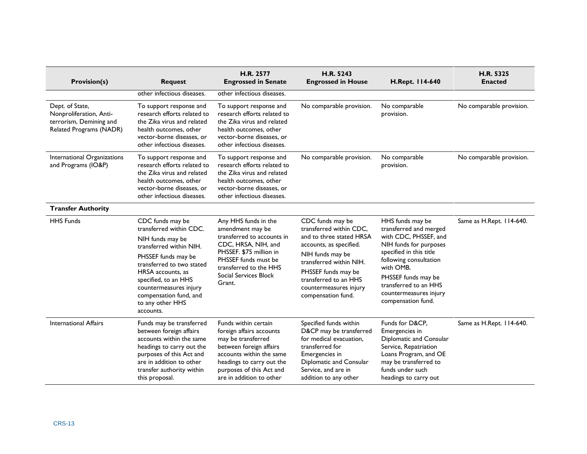| <b>Provision(s)</b>                                                                              | <b>Request</b>                                                                                                                                                                                                                                                                   | <b>H.R. 2577</b><br><b>Engrossed in Senate</b>                                                                                                                                                                     | H.R. 5243<br><b>Engrossed in House</b>                                                                                                                                                                                                            | H.Rept. 114-640                                                                                                                                                                                                                                                 | H.R. 5325<br><b>Enacted</b> |
|--------------------------------------------------------------------------------------------------|----------------------------------------------------------------------------------------------------------------------------------------------------------------------------------------------------------------------------------------------------------------------------------|--------------------------------------------------------------------------------------------------------------------------------------------------------------------------------------------------------------------|---------------------------------------------------------------------------------------------------------------------------------------------------------------------------------------------------------------------------------------------------|-----------------------------------------------------------------------------------------------------------------------------------------------------------------------------------------------------------------------------------------------------------------|-----------------------------|
|                                                                                                  | other infectious diseases.                                                                                                                                                                                                                                                       | other infectious diseases.                                                                                                                                                                                         |                                                                                                                                                                                                                                                   |                                                                                                                                                                                                                                                                 |                             |
| Dept. of State,<br>Nonproliferation, Anti-<br>terrorism, Demining and<br>Related Programs (NADR) | To support response and<br>research efforts related to<br>the Zika virus and related<br>health outcomes, other<br>vector-borne diseases, or<br>other infectious diseases.                                                                                                        | To support response and<br>research efforts related to<br>the Zika virus and related<br>health outcomes, other<br>vector-borne diseases, or<br>other infectious diseases.                                          | No comparable provision.                                                                                                                                                                                                                          | No comparable<br>provision.                                                                                                                                                                                                                                     | No comparable provision.    |
| International Organizations<br>and Programs (IO&P)                                               | To support response and<br>research efforts related to<br>the Zika virus and related<br>health outcomes, other<br>vector-borne diseases, or<br>other infectious diseases.                                                                                                        | To support response and<br>research efforts related to<br>the Zika virus and related<br>health outcomes, other<br>vector-borne diseases, or<br>other infectious diseases.                                          | No comparable provision.                                                                                                                                                                                                                          | No comparable<br>provision.                                                                                                                                                                                                                                     | No comparable provision.    |
| <b>Transfer Authority</b>                                                                        |                                                                                                                                                                                                                                                                                  |                                                                                                                                                                                                                    |                                                                                                                                                                                                                                                   |                                                                                                                                                                                                                                                                 |                             |
| <b>HHS Funds</b>                                                                                 | CDC funds may be<br>transferred within CDC.<br>NIH funds may be<br>transferred within NIH.<br>PHSSEF funds may be<br>transferred to two stated<br>HRSA accounts, as<br>specified, to an HHS<br>countermeasures injury<br>compensation fund, and<br>to any other HHS<br>accounts. | Any HHS funds in the<br>amendment may be<br>transferred to accounts in<br>CDC, HRSA, NIH, and<br>PHSSEF. \$75 million in<br>PHSSEF funds must be<br>transferred to the HHS<br>Social Services Block<br>Grant.      | CDC funds may be<br>transferred within CDC.<br>and to three stated HRSA<br>accounts, as specified.<br>NIH funds may be<br>transferred within NIH.<br>PHSSEF funds may be<br>transferred to an HHS<br>countermeasures injury<br>compensation fund. | HHS funds may be<br>transferred and merged<br>with CDC, PHSSEF, and<br>NIH funds for purposes<br>specified in this title<br>following consultation<br>with OMB.<br>PHSSEF funds may be<br>transferred to an HHS<br>countermeasures injury<br>compensation fund. | Same as H.Rept. 114-640.    |
| <b>International Affairs</b>                                                                     | Funds may be transferred<br>between foreign affairs<br>accounts within the same<br>headings to carry out the<br>purposes of this Act and<br>are in addition to other<br>transfer authority within<br>this proposal.                                                              | Funds within certain<br>foreign affairs accounts<br>may be transferred<br>between foreign affairs<br>accounts within the same<br>headings to carry out the<br>purposes of this Act and<br>are in addition to other | Specified funds within<br>D&CP may be transferred<br>for medical evacuation.<br>transferred for<br>Emergencies in<br>Diplomatic and Consular<br>Service, and are in<br>addition to any other                                                      | Funds for D&CP,<br>Emergencies in<br>Diplomatic and Consular<br>Service, Repatriation<br>Loans Program, and OE<br>may be transferred to<br>funds under such<br>headings to carry out                                                                            | Same as H.Rept. 114-640.    |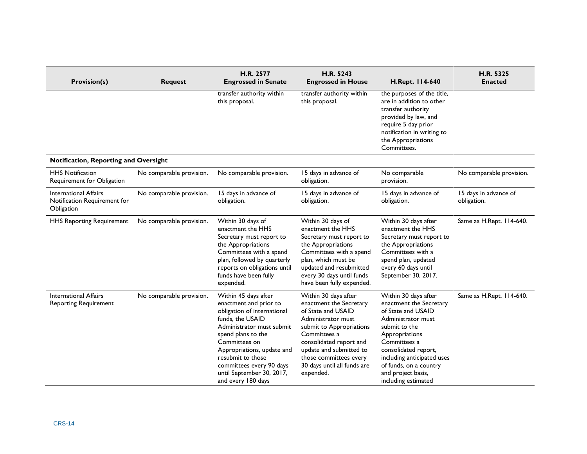| <b>Provision(s)</b>                                                        | <b>Request</b>           | H.R. 2577<br><b>Engrossed in Senate</b>                                                                                                                                                                                                                                                                 | H.R. 5243<br><b>Engrossed in House</b>                                                                                                                                                                                                                              | H.Rept. 114-640                                                                                                                                                                                                                                                             | H.R. 5325<br><b>Enacted</b>          |
|----------------------------------------------------------------------------|--------------------------|---------------------------------------------------------------------------------------------------------------------------------------------------------------------------------------------------------------------------------------------------------------------------------------------------------|---------------------------------------------------------------------------------------------------------------------------------------------------------------------------------------------------------------------------------------------------------------------|-----------------------------------------------------------------------------------------------------------------------------------------------------------------------------------------------------------------------------------------------------------------------------|--------------------------------------|
|                                                                            |                          | transfer authority within<br>this proposal.                                                                                                                                                                                                                                                             | transfer authority within<br>this proposal.                                                                                                                                                                                                                         | the purposes of the title,<br>are in addition to other<br>transfer authority<br>provided by law, and<br>require 5 day prior<br>notification in writing to<br>the Appropriations<br>Committees.                                                                              |                                      |
| Notification, Reporting and Oversight                                      |                          |                                                                                                                                                                                                                                                                                                         |                                                                                                                                                                                                                                                                     |                                                                                                                                                                                                                                                                             |                                      |
| <b>HHS Notification</b><br>Requirement for Obligation                      | No comparable provision. | No comparable provision.                                                                                                                                                                                                                                                                                | 15 days in advance of<br>obligation.                                                                                                                                                                                                                                | No comparable<br>provision.                                                                                                                                                                                                                                                 | No comparable provision.             |
| <b>International Affairs</b><br>Notification Requirement for<br>Obligation | No comparable provision. | 15 days in advance of<br>obligation.                                                                                                                                                                                                                                                                    | 15 days in advance of<br>obligation.                                                                                                                                                                                                                                | 15 days in advance of<br>obligation.                                                                                                                                                                                                                                        | 15 days in advance of<br>obligation. |
| <b>HHS Reporting Requirement</b>                                           | No comparable provision. | Within 30 days of<br>enactment the HHS<br>Secretary must report to<br>the Appropriations<br>Committees with a spend<br>plan, followed by quarterly<br>reports on obligations until<br>funds have been fully<br>expended.                                                                                | Within 30 days of<br>enactment the HHS<br>Secretary must report to<br>the Appropriations<br>Committees with a spend<br>plan, which must be<br>updated and resubmitted<br>every 30 days until funds<br>have been fully expended.                                     | Within 30 days after<br>enactment the HHS<br>Secretary must report to<br>the Appropriations<br>Committees with a<br>spend plan, updated<br>every 60 days until<br>September 30, 2017.                                                                                       | Same as H.Rept. 114-640.             |
| <b>International Affairs</b><br><b>Reporting Requirement</b>               | No comparable provision. | Within 45 days after<br>enactment and prior to<br>obligation of international<br>funds, the USAID<br>Administrator must submit<br>spend plans to the<br>Committees on<br>Appropriations, update and<br>resubmit to those<br>committees every 90 days<br>until September 30, 2017,<br>and every 180 days | Within 30 days after<br>enactment the Secretary<br>of State and USAID<br>Administrator must<br>submit to Appropriations<br>Committees a<br>consolidated report and<br>update and submitted to<br>those committees every<br>30 days until all funds are<br>expended. | Within 30 days after<br>enactment the Secretary<br>of State and USAID<br>Administrator must<br>submit to the<br>Appropriations<br>Committees a<br>consolidated report,<br>including anticipated uses<br>of funds, on a country<br>and project basis,<br>including estimated | Same as H.Rept. 114-640.             |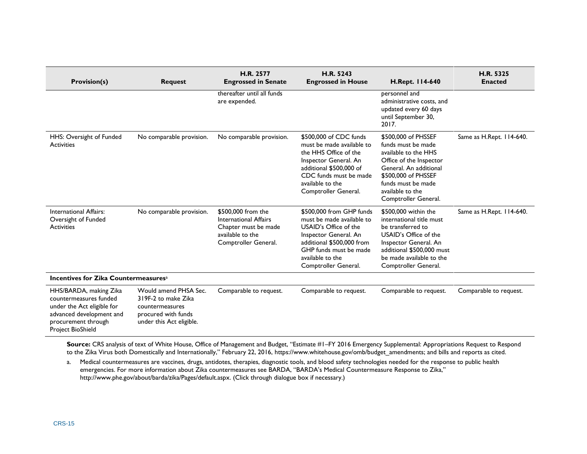| <b>Provision(s)</b>                                                                                                                                           |                                                                                                                    | H.R. 2577<br><b>Engrossed in Senate</b>                                                                         | H.R. 5243<br><b>Engrossed in House</b>                                                                                                                                                                     | H.Rept. 114-640                                                                                                                                                                                                 | H.R. 5325<br><b>Enacted</b> |
|---------------------------------------------------------------------------------------------------------------------------------------------------------------|--------------------------------------------------------------------------------------------------------------------|-----------------------------------------------------------------------------------------------------------------|------------------------------------------------------------------------------------------------------------------------------------------------------------------------------------------------------------|-----------------------------------------------------------------------------------------------------------------------------------------------------------------------------------------------------------------|-----------------------------|
|                                                                                                                                                               | <b>Request</b>                                                                                                     | thereafter until all funds<br>are expended.                                                                     |                                                                                                                                                                                                            | personnel and<br>administrative costs, and<br>updated every 60 days<br>until September 30,<br>2017.                                                                                                             |                             |
| HHS: Oversight of Funded<br><b>Activities</b>                                                                                                                 | No comparable provision.                                                                                           | No comparable provision.                                                                                        | \$500,000 of CDC funds<br>must be made available to<br>the HHS Office of the<br>Inspector General. An<br>additional \$500,000 of<br>CDC funds must be made<br>available to the<br>Comptroller General.     | \$500,000 of PHSSEF<br>funds must be made<br>available to the HHS<br>Office of the Inspector<br>General. An additional<br>\$500,000 of PHSSEF<br>funds must be made<br>available to the<br>Comptroller General. | Same as H.Rept. 114-640.    |
| International Affairs:<br>Oversight of Funded<br><b>Activities</b>                                                                                            | No comparable provision.                                                                                           | \$500,000 from the<br>International Affairs<br>Chapter must be made<br>available to the<br>Comptroller General. | \$500,000 from GHP funds<br>must be made available to<br>USAID's Office of the<br>Inspector General. An<br>additional \$500,000 from<br>GHP funds must be made<br>available to the<br>Comptroller General. | \$500,000 within the<br>international title must<br>be transferred to<br>USAID's Office of the<br>Inspector General. An<br>additional \$500,000 must<br>be made available to the<br>Comptroller General.        | Same as H.Rept. 114-640.    |
| Incentives for Zika Countermeasures <sup>a</sup>                                                                                                              |                                                                                                                    |                                                                                                                 |                                                                                                                                                                                                            |                                                                                                                                                                                                                 |                             |
| HHS/BARDA, making Zika<br>countermeasures funded<br>under the Act eligible for<br>advanced development and<br>procurement through<br><b>Project BioShield</b> | Would amend PHSA Sec.<br>319F-2 to make Zika<br>countermeasures<br>procured with funds<br>under this Act eligible. | Comparable to request.                                                                                          | Comparable to request.                                                                                                                                                                                     | Comparable to request.                                                                                                                                                                                          | Comparable to request.      |

**Source:** CRS analysis of text of White House, Office of Management and Budget, "Estimate #1–FY 2016 Emergency Supplemental: Appropriations Request to Respond to the Zika Virus both Domestically and Internationally," February 22, 2016, https://www.whitehouse.gov/omb/budget\_amendments; and bills and reports as cited.

<span id="page-18-0"></span>a. Medical countermeasures are vaccines, drugs, antidotes, therapies, diagnostic tools, and blood safety technologies needed for the response to public health emergencies. For more information about Zika countermeasures see BARDA, "BARDA's Medical Countermeasure Response to Zika," [http://www.phe.gov/about/barda/zika/Pages/default.aspx.](http://www.phe.gov/about/barda/zika/Pages/default.aspx) (Click through dialogue box if necessary.)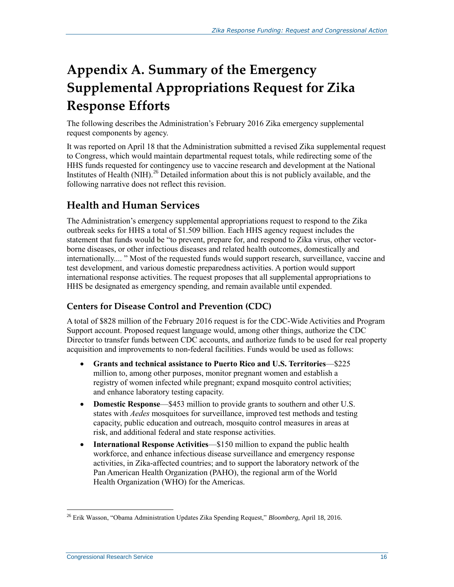## <span id="page-19-0"></span>**Appendix A. Summary of the Emergency Supplemental Appropriations Request for Zika Response Efforts**

The following describes the Administration's February 2016 Zika emergency supplemental request components by agency.

It was reported on April 18 that the Administration submitted a revised Zika supplemental request to Congress, which would maintain departmental request totals, while redirecting some of the HHS funds requested for contingency use to vaccine research and development at the National Institutes of Health (NIH).<sup>26</sup> Detailed information about this is not publicly available, and the following narrative does not reflect this revision.

## **Health and Human Services**

The Administration's emergency supplemental appropriations request to respond to the Zika outbreak seeks for HHS a total of \$1.509 billion. Each HHS agency request includes the statement that funds would be "to prevent, prepare for, and respond to Zika virus, other vectorborne diseases, or other infectious diseases and related health outcomes, domestically and internationally.... " Most of the requested funds would support research, surveillance, vaccine and test development, and various domestic preparedness activities. A portion would support international response activities. The request proposes that all supplemental appropriations to HHS be designated as emergency spending, and remain available until expended.

#### **Centers for Disease Control and Prevention (CDC)**

A total of \$828 million of the February 2016 request is for the CDC-Wide Activities and Program Support account. Proposed request language would, among other things, authorize the CDC Director to transfer funds between CDC accounts, and authorize funds to be used for real property acquisition and improvements to non-federal facilities. Funds would be used as follows:

- **Grants and technical assistance to Puerto Rico and U.S. Territories**—\$225 million to, among other purposes, monitor pregnant women and establish a registry of women infected while pregnant; expand mosquito control activities; and enhance laboratory testing capacity.
- **Domestic Response—\$453** million to provide grants to southern and other U.S. states with *Aedes* mosquitoes for surveillance, improved test methods and testing capacity, public education and outreach, mosquito control measures in areas at risk, and additional federal and state response activities.
- **International Response Activities**—\$150 million to expand the public health workforce, and enhance infectious disease surveillance and emergency response activities, in Zika-affected countries; and to support the laboratory network of the Pan American Health Organization (PAHO), the regional arm of the World Health Organization (WHO) for the Americas.

<sup>26</sup> Erik Wasson, "Obama Administration Updates Zika Spending Request," *Bloomberg*, April 18, 2016.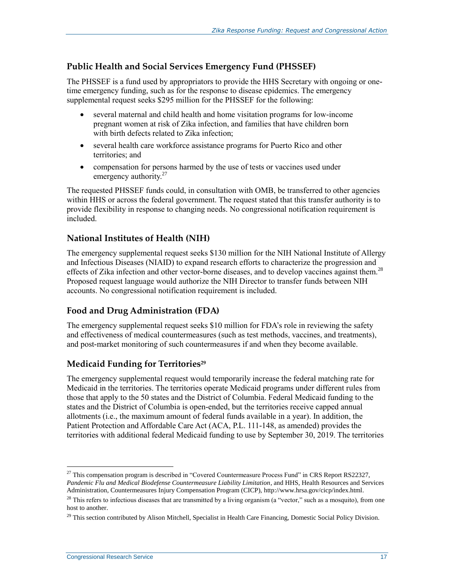#### **Public Health and Social Services Emergency Fund (PHSSEF)**

The PHSSEF is a fund used by appropriators to provide the HHS Secretary with ongoing or onetime emergency funding, such as for the response to disease epidemics. The emergency supplemental request seeks \$295 million for the PHSSEF for the following:

- several maternal and child health and home visitation programs for low-income pregnant women at risk of Zika infection, and families that have children born with birth defects related to Zika infection;
- several health care workforce assistance programs for Puerto Rico and other territories; and
- compensation for persons harmed by the use of tests or vaccines used under emergency authority. $27$

The requested PHSSEF funds could, in consultation with OMB, be transferred to other agencies within HHS or across the federal government. The request stated that this transfer authority is to provide flexibility in response to changing needs. No congressional notification requirement is included.

#### **National Institutes of Health (NIH)**

The emergency supplemental request seeks \$130 million for the NIH National Institute of Allergy and Infectious Diseases (NIAID) to expand research efforts to characterize the progression and effects of Zika infection and other vector-borne diseases, and to develop vaccines against them.<sup>28</sup> Proposed request language would authorize the NIH Director to transfer funds between NIH accounts. No congressional notification requirement is included.

#### **Food and Drug Administration (FDA)**

The emergency supplemental request seeks \$10 million for FDA's role in reviewing the safety and effectiveness of medical countermeasures (such as test methods, vaccines, and treatments), and post-market monitoring of such countermeasures if and when they become available.

#### **Medicaid Funding for Territories<sup>29</sup>**

The emergency supplemental request would temporarily increase the federal matching rate for Medicaid in the territories. The territories operate Medicaid programs under different rules from those that apply to the 50 states and the District of Columbia. Federal Medicaid funding to the states and the District of Columbia is open-ended, but the territories receive capped annual allotments (i.e., the maximum amount of federal funds available in a year). In addition, the Patient Protection and Affordable Care Act (ACA, P.L. 111-148, as amended) provides the territories with additional federal Medicaid funding to use by September 30, 2019. The territories

<sup>&</sup>lt;sup>27</sup> This compensation program is described in "Covered Countermeasure Process Fund" in CRS Report RS22327, *Pandemic Flu and Medical Biodefense Countermeasure Liability Limitation*, and HHS, Health Resources and Services Administration, Countermeasures Injury Compensation Program (CICP), http://www.hrsa.gov/cicp/index.html.

 $28$  This refers to infectious diseases that are transmitted by a living organism (a "vector," such as a mosquito), from one host to another.

<sup>&</sup>lt;sup>29</sup> This section contributed by Alison Mitchell, Specialist in Health Care Financing, Domestic Social Policy Division.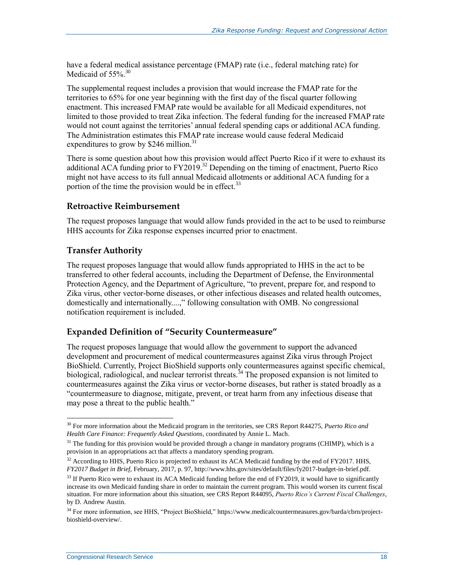have a federal medical assistance percentage (FMAP) rate (i.e., federal matching rate) for Medicaid of 55%.<sup>30</sup>

The supplemental request includes a provision that would increase the FMAP rate for the territories to 65% for one year beginning with the first day of the fiscal quarter following enactment. This increased FMAP rate would be available for all Medicaid expenditures, not limited to those provided to treat Zika infection. The federal funding for the increased FMAP rate would not count against the territories' annual federal spending caps or additional ACA funding. The Administration estimates this FMAP rate increase would cause federal Medicaid expenditures to grow by  $$246$  million.<sup>31</sup>

There is some question about how this provision would affect Puerto Rico if it were to exhaust its additional ACA funding prior to  $FY2019<sup>32</sup>$  Depending on the timing of enactment, Puerto Rico might not have access to its full annual Medicaid allotments or additional ACA funding for a portion of the time the provision would be in effect.<sup>33</sup>

#### **Retroactive Reimbursement**

The request proposes language that would allow funds provided in the act to be used to reimburse HHS accounts for Zika response expenses incurred prior to enactment.

#### **Transfer Authority**

The request proposes language that would allow funds appropriated to HHS in the act to be transferred to other federal accounts, including the Department of Defense, the Environmental Protection Agency, and the Department of Agriculture, "to prevent, prepare for, and respond to Zika virus, other vector-borne diseases, or other infectious diseases and related health outcomes, domestically and internationally....," following consultation with OMB. No congressional notification requirement is included.

#### **Expanded Definition of "Security Countermeasure"**

The request proposes language that would allow the government to support the advanced development and procurement of medical countermeasures against Zika virus through Project BioShield. Currently, Project BioShield supports only countermeasures against specific chemical, biological, radiological, and nuclear terrorist threats.<sup>34</sup> The proposed expansion is not limited to countermeasures against the Zika virus or vector-borne diseases, but rather is stated broadly as a "countermeasure to diagnose, mitigate, prevent, or treat harm from any infectious disease that may pose a threat to the public health."

<sup>30</sup> For more information about the Medicaid program in the territories, see CRS Report R44275, *Puerto Rico and Health Care Finance: Frequently Asked Questions*, coordinated by Annie L. Mach.

 $31$  The funding for this provision would be provided through a change in mandatory programs (CHIMP), which is a provision in an appropriations act that affects a mandatory spending program.

<sup>&</sup>lt;sup>32</sup> According to HHS, Puerto Rico is projected to exhaust its ACA Medicaid funding by the end of FY2017. HHS, *FY2017 Budget in Brief*, February, 2017, p. 97, http://www.hhs.gov/sites/default/files/fy2017-budget-in-brief.pdf.

 $33$  If Puerto Rico were to exhaust its ACA Medicaid funding before the end of FY2019, it would have to significantly increase its own Medicaid funding share in order to maintain the current program. This would worsen its current fiscal situation. For more information about this situation, see CRS Report R44095, *Puerto Rico's Current Fiscal Challenges*, by D. Andrew Austin.

<sup>&</sup>lt;sup>34</sup> For more information, see HHS, "Project BioShield," https://www.medicalcountermeasures.gov/barda/cbrn/projectbioshield-overview/.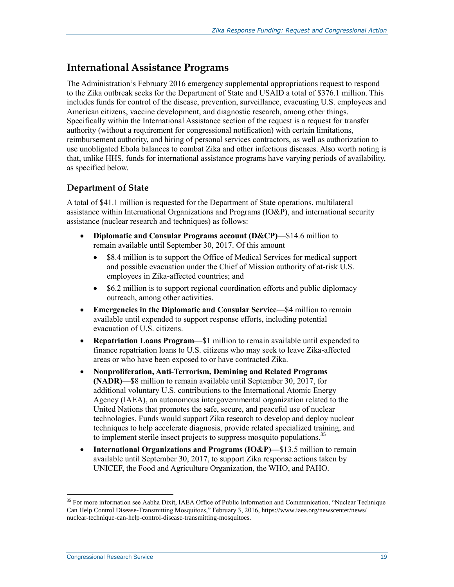### **International Assistance Programs**

The Administration's February 2016 emergency supplemental appropriations request to respond to the Zika outbreak seeks for the Department of State and USAID a total of \$376.1 million. This includes funds for control of the disease, prevention, surveillance, evacuating U.S. employees and American citizens, vaccine development, and diagnostic research, among other things. Specifically within the International Assistance section of the request is a request for transfer authority (without a requirement for congressional notification) with certain limitations, reimbursement authority, and hiring of personal services contractors, as well as authorization to use unobligated Ebola balances to combat Zika and other infectious diseases. Also worth noting is that, unlike HHS, funds for international assistance programs have varying periods of availability, as specified below.

#### **Department of State**

A total of \$41.1 million is requested for the Department of State operations, multilateral assistance within International Organizations and Programs (IO&P), and international security assistance (nuclear research and techniques) as follows:

- **Diplomatic and Consular Programs account (D&CP)**—\$14.6 million to remain available until September 30, 2017. Of this amount
	- \$8.4 million is to support the Office of Medical Services for medical support and possible evacuation under the Chief of Mission authority of at-risk U.S. employees in Zika-affected countries; and
	- \$6.2 million is to support regional coordination efforts and public diplomacy outreach, among other activities.
- **Emergencies in the Diplomatic and Consular Service**—\$4 million to remain available until expended to support response efforts, including potential evacuation of U.S. citizens.
- **Repatriation Loans Program**—\$1 million to remain available until expended to finance repatriation loans to U.S. citizens who may seek to leave Zika-affected areas or who have been exposed to or have contracted Zika.
- **Nonproliferation, Anti-Terrorism, Demining and Related Programs (NADR)**—\$8 million to remain available until September 30, 2017, for additional voluntary U.S. contributions to the International Atomic Energy Agency (IAEA), an autonomous intergovernmental organization related to the United Nations that promotes the safe, secure, and peaceful use of nuclear technologies. Funds would support Zika research to develop and deploy nuclear techniques to help accelerate diagnosis, provide related specialized training, and to implement sterile insect projects to suppress mosquito populations.<sup>35</sup>
- International Organizations and Programs (IO&P)—\$13.5 million to remain available until September 30, 2017, to support Zika response actions taken by UNICEF, the Food and Agriculture Organization, the WHO, and PAHO.

<sup>&</sup>lt;sup>35</sup> For more information see Aabha Dixit, IAEA Office of Public Information and Communication, "Nuclear Technique Can Help Control Disease-Transmitting Mosquitoes," February 3, 2016, https://www.iaea.org/newscenter/news/ nuclear-technique-can-help-control-disease-transmitting-mosquitoes.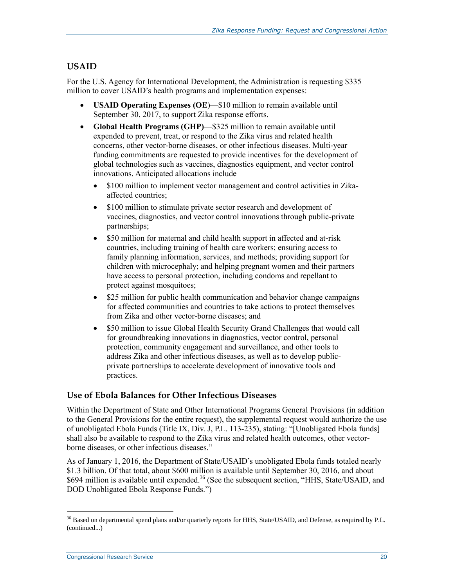#### **USAID**

For the U.S. Agency for International Development, the Administration is requesting \$335 million to cover USAID's health programs and implementation expenses:

- **USAID Operating Expenses (OE**)—\$10 million to remain available until September 30, 2017, to support Zika response efforts.
- **Global Health Programs (GHP)**—\$325 million to remain available until expended to prevent, treat, or respond to the Zika virus and related health concerns, other vector-borne diseases, or other infectious diseases. Multi-year funding commitments are requested to provide incentives for the development of global technologies such as vaccines, diagnostics equipment, and vector control innovations. Anticipated allocations include
	- \$100 million to implement vector management and control activities in Zikaaffected countries;
	- \$100 million to stimulate private sector research and development of vaccines, diagnostics, and vector control innovations through public-private partnerships;
	- \$50 million for maternal and child health support in affected and at-risk countries, including training of health care workers; ensuring access to family planning information, services, and methods; providing support for children with microcephaly; and helping pregnant women and their partners have access to personal protection, including condoms and repellant to protect against mosquitoes;
	- \$25 million for public health communication and behavior change campaigns for affected communities and countries to take actions to protect themselves from Zika and other vector-borne diseases; and
	- \$50 million to issue Global Health Security Grand Challenges that would call for groundbreaking innovations in diagnostics, vector control, personal protection, community engagement and surveillance, and other tools to address Zika and other infectious diseases, as well as to develop publicprivate partnerships to accelerate development of innovative tools and practices.

#### **Use of Ebola Balances for Other Infectious Diseases**

Within the Department of State and Other International Programs General Provisions (in addition to the General Provisions for the entire request), the supplemental request would authorize the use of unobligated Ebola Funds (Title IX, Div. J, [P.L. 113-235\)](http://www.congress.gov/cgi-lis/bdquery/R?d113:FLD002:@1(113+235)), stating: "[Unobligated Ebola funds] shall also be available to respond to the Zika virus and related health outcomes, other vectorborne diseases, or other infectious diseases."

As of January 1, 2016, the Department of State/USAID's unobligated Ebola funds totaled nearly \$1.3 billion. Of that total, about \$600 million is available until September 30, 2016, and about \$694 million is available until expended.<sup>36</sup> (See the subsequent section, "HHS, State/USAID, and [DOD Unobligated Ebola Response Funds.](#page-25-0)")

 $\overline{a}$  $36$  Based on departmental spend plans and/or quarterly reports for HHS, State/USAID, and Defense, as required by P.L. (continued...)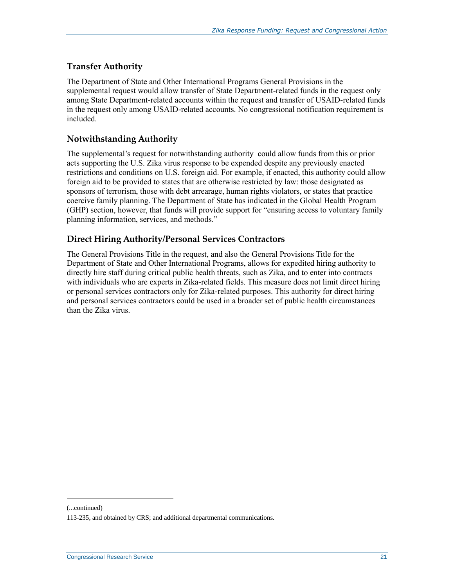#### **Transfer Authority**

The Department of State and Other International Programs General Provisions in the supplemental request would allow transfer of State Department-related funds in the request only among State Department-related accounts within the request and transfer of USAID-related funds in the request only among USAID-related accounts. No congressional notification requirement is included.

#### **Notwithstanding Authority**

The supplemental's request for notwithstanding authority could allow funds from this or prior acts supporting the U.S. Zika virus response to be expended despite any previously enacted restrictions and conditions on U.S. foreign aid. For example, if enacted, this authority could allow foreign aid to be provided to states that are otherwise restricted by law: those designated as sponsors of terrorism, those with debt arrearage, human rights violators, or states that practice coercive family planning. The Department of State has indicated in the Global Health Program (GHP) section, however, that funds will provide support for "ensuring access to voluntary family planning information, services, and methods."

#### **Direct Hiring Authority/Personal Services Contractors**

The General Provisions Title in the request, and also the General Provisions Title for the Department of State and Other International Programs, allows for expedited hiring authority to directly hire staff during critical public health threats, such as Zika, and to enter into contracts with individuals who are experts in Zika-related fields. This measure does not limit direct hiring or personal services contractors only for Zika-related purposes. This authority for direct hiring and personal services contractors could be used in a broader set of public health circumstances than the Zika virus.

<sup>(...</sup>continued)

<sup>113-235,</sup> and obtained by CRS; and additional departmental communications.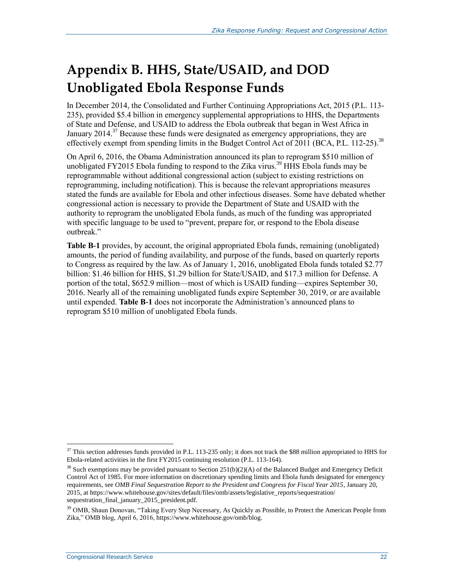## <span id="page-25-0"></span>**Appendix B. HHS, State/USAID, and DOD Unobligated Ebola Response Funds**

In December 2014, the Consolidated and Further Continuing Appropriations Act, 2015 (P.L. 113- 235), provided \$5.4 billion in emergency supplemental appropriations to HHS, the Departments of State and Defense, and USAID to address the Ebola outbreak that began in West Africa in January  $2014$ <sup>37</sup> Because these funds were designated as emergency appropriations, they are effectively exempt from spending limits in the Budget Control Act of 2011 (BCA, [P.L. 112-25\)](http://www.congress.gov/cgi-lis/bdquery/R?d112:FLD002:@1(112+25)).<sup>38</sup>

On April 6, 2016, the Obama Administration announced its plan to reprogram \$510 million of unobligated FY2015 Ebola funding to respond to the Zika virus.<sup>39</sup> HHS Ebola funds may be reprogrammable without additional congressional action (subject to existing restrictions on reprogramming, including notification). This is because the relevant appropriations measures stated the funds are available for Ebola and other infectious diseases. Some have debated whether congressional action is necessary to provide the Department of State and USAID with the authority to reprogram the unobligated Ebola funds, as much of the funding was appropriated with specific language to be used to "prevent, prepare for, or respond to the Ebola disease outbreak."

**[Table B-1](#page-26-0)** provides, by account, the original appropriated Ebola funds, remaining (unobligated) amounts, the period of funding availability, and purpose of the funds, based on quarterly reports to Congress as required by the law. As of January 1, 2016, unobligated Ebola funds totaled \$2.77 billion: \$1.46 billion for HHS, \$1.29 billion for State/USAID, and \$17.3 million for Defense. A portion of the total, \$652.9 million—most of which is USAID funding—expires September 30, 2016. Nearly all of the remaining unobligated funds expire September 30, 2019, or are available until expended. **[Table B-1](#page-26-0)** does not incorporate the Administration's announced plans to reprogram \$510 million of unobligated Ebola funds.

<sup>&</sup>lt;sup>37</sup> This section addresses funds provided in P.L. 113-235 only; it does not track the \$88 million appropriated to HHS for Ebola-related activities in the first FY2015 continuing resolution (P.L. 113-164).

 $38$  Such exemptions may be provided pursuant to Section 251(b)(2)(A) of the Balanced Budget and Emergency Deficit Control Act of 1985. For more information on discretionary spending limits and Ebola funds designated for emergency requirements, see *OMB Final Sequestration Report to the President and Congress for Fiscal Year 2015*, January 20, 2015, at https://www.whitehouse.gov/sites/default/files/omb/assets/legislative\_reports/sequestration/ sequestration\_final\_january\_2015\_president.pdf.

<sup>&</sup>lt;sup>39</sup> OMB, Shaun Donovan, "Taking Every Step Necessary, As Quickly as Possible, to Protect the American People from Zika," OMB blog, April 6, 2016, https://www.whitehouse.gov/omb/blog.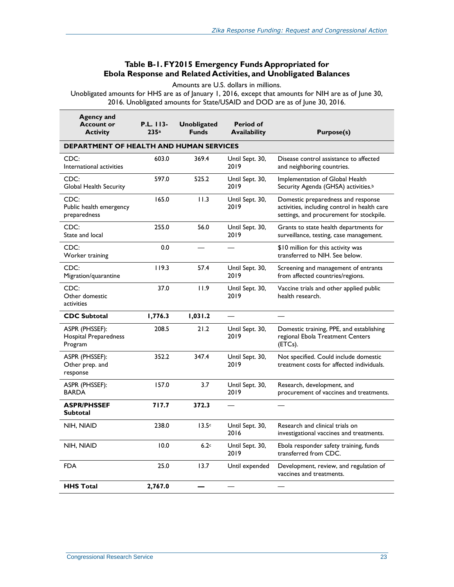#### **Table B-1. FY2015 Emergency Funds Appropriated for Ebola Response and Related Activities, and Unobligated Balances**

Amounts are U.S. dollars in millions.

<span id="page-26-0"></span>Unobligated amounts for HHS are as of January 1, 2016, except that amounts for NIH are as of June 30, 2016. Unobligated amounts for State/USAID and DOD are as of June 30, 2016.

| <b>Agency and</b><br><b>Account or</b><br><b>Activity</b> | P.L. 113-<br>235a                       | <b>Unobligated</b><br><b>Funds</b> | Period of<br><b>Availability</b> | <b>Purpose(s)</b>                                                                                                              |  |
|-----------------------------------------------------------|-----------------------------------------|------------------------------------|----------------------------------|--------------------------------------------------------------------------------------------------------------------------------|--|
|                                                           | DEPARTMENT OF HEALTH AND HUMAN SERVICES |                                    |                                  |                                                                                                                                |  |
| CDC:<br>International activities                          | 603.0                                   | 369.4                              | Until Sept. 30,<br>2019          | Disease control assistance to affected<br>and neighboring countries.                                                           |  |
| CDC:<br>Global Health Security                            | 597.0                                   | 525.2                              | Until Sept. 30,<br>2019          | Implementation of Global Health<br>Security Agenda (GHSA) activities. <sup>b</sup>                                             |  |
| CDC:<br>Public health emergency<br>preparedness           | 165.0                                   | 11.3                               | Until Sept. 30,<br>2019          | Domestic preparedness and response<br>activities, including control in health care<br>settings, and procurement for stockpile. |  |
| CDC:<br>State and local                                   | 255.0                                   | 56.0                               | Until Sept. 30,<br>2019          | Grants to state health departments for<br>surveillance, testing, case management.                                              |  |
| CDC:<br>Worker training                                   | 0.0                                     |                                    |                                  | \$10 million for this activity was<br>transferred to NIH. See below.                                                           |  |
| CDC:<br>Migration/quarantine                              | 119.3                                   | 57.4                               | Until Sept. 30,<br>2019          | Screening and management of entrants<br>from affected countries/regions.                                                       |  |
| CDC:<br>Other domestic<br>activities                      | 37.0                                    | 11.9                               | Until Sept. 30,<br>2019          | Vaccine trials and other applied public<br>health research.                                                                    |  |
| <b>CDC Subtotal</b>                                       | 1,776.3                                 | 1,031.2                            |                                  |                                                                                                                                |  |
| ASPR (PHSSEF):<br>Hospital Preparedness<br>Program        | 208.5                                   | 21.2                               | Until Sept. 30,<br>2019          | Domestic training, PPE, and establishing<br>regional Ebola Treatment Centers<br>(ETCs).                                        |  |
| ASPR (PHSSEF):<br>Other prep. and<br>response             | 352.2                                   | 347.4                              | Until Sept. 30,<br>2019          | Not specified. Could include domestic<br>treatment costs for affected individuals.                                             |  |
| ASPR (PHSSEF):<br><b>BARDA</b>                            | 157.0                                   | 3.7                                | Until Sept. 30,<br>2019          | Research, development, and<br>procurement of vaccines and treatments.                                                          |  |
| <b>ASPR/PHSSEF</b><br>Subtotal                            | 717.7                                   | 372.3                              |                                  |                                                                                                                                |  |
| NIH, NIAID                                                | 238.0                                   | 13.5c                              | Until Sept. 30,<br>2016          | Research and clinical trials on<br>investigational vaccines and treatments.                                                    |  |
| NIH, NIAID                                                | 10.0                                    | 6.2c                               | Until Sept. 30,<br>2019          | Ebola responder safety training, funds<br>transferred from CDC.                                                                |  |
| <b>FDA</b>                                                | 25.0                                    | 13.7                               | Until expended                   | Development, review, and regulation of<br>vaccines and treatments.                                                             |  |
| <b>HHS Total</b>                                          | 2,767.0                                 |                                    |                                  |                                                                                                                                |  |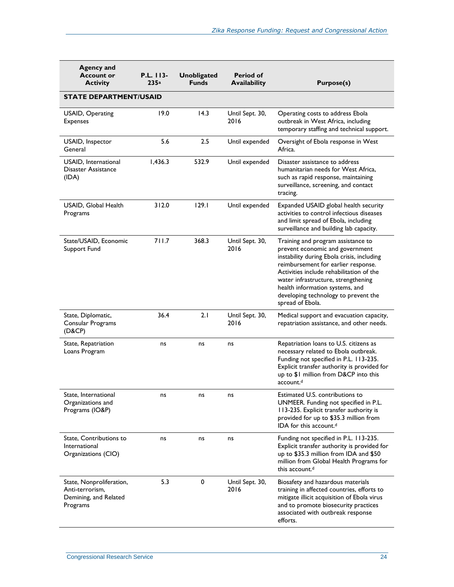| <b>Agency and</b><br><b>Account or</b><br><b>Activity</b>                        | P.L. 113-<br>235a | <b>Unobligated</b><br><b>Funds</b> | <b>Period of</b><br><b>Availability</b> | <b>Purpose(s)</b>                                                                                                                                                                                                                                                                                                                            |
|----------------------------------------------------------------------------------|-------------------|------------------------------------|-----------------------------------------|----------------------------------------------------------------------------------------------------------------------------------------------------------------------------------------------------------------------------------------------------------------------------------------------------------------------------------------------|
| <b>STATE DEPARTMENT/USAID</b>                                                    |                   |                                    |                                         |                                                                                                                                                                                                                                                                                                                                              |
| USAID, Operating<br><b>Expenses</b>                                              | 19.0              | 14.3                               | Until Sept. 30,<br>2016                 | Operating costs to address Ebola<br>outbreak in West Africa, including<br>temporary staffing and technical support.                                                                                                                                                                                                                          |
| USAID, Inspector<br>General                                                      | 5.6               | 2.5                                | Until expended                          | Oversight of Ebola response in West<br>Africa.                                                                                                                                                                                                                                                                                               |
| USAID, International<br>Disaster Assistance<br>(IDA)                             | 1,436.3           | 532.9                              | Until expended                          | Disaster assistance to address<br>humanitarian needs for West Africa,<br>such as rapid response, maintaining<br>surveillance, screening, and contact<br>tracing.                                                                                                                                                                             |
| USAID, Global Health<br>Programs                                                 | 312.0             | 129.1                              | Until expended                          | Expanded USAID global health security<br>activities to control infectious diseases<br>and limit spread of Ebola, including<br>surveillance and building lab capacity.                                                                                                                                                                        |
| State/USAID, Economic<br>Support Fund                                            | 711.7             | 368.3                              | Until Sept. 30,<br>2016                 | Training and program assistance to<br>prevent economic and government<br>instability during Ebola crisis, including<br>reimbursement for earlier response.<br>Activities include rehabilitation of the<br>water infrastructure, strengthening<br>health information systems, and<br>developing technology to prevent the<br>spread of Ebola. |
| State, Diplomatic,<br>Consular Programs<br>(D&CP)                                | 36.4              | 2.1                                | Until Sept. 30,<br>2016                 | Medical support and evacuation capacity,<br>repatriation assistance, and other needs.                                                                                                                                                                                                                                                        |
| State, Repatriation<br>Loans Program                                             | ns                | ns                                 | ns                                      | Repatriation loans to U.S. citizens as<br>necessary related to Ebola outbreak.<br>Funding not specified in P.L. 113-235.<br>Explicit transfer authority is provided for<br>up to \$1 million from D&CP into this<br>account. <sup>d</sup>                                                                                                    |
| State, International<br>Organizations and<br>Programs (IO&P)                     | ns                | ns                                 | ns                                      | Estimated U.S. contributions to<br>UNMEER. Funding not specified in P.L.<br>113-235. Explicit transfer authority is<br>provided for up to \$35.3 million from<br>IDA for this account. <sup>d</sup>                                                                                                                                          |
| State, Contributions to<br>International<br>Organizations (CIO)                  | ns                | ns                                 | ns                                      | Funding not specified in P.L. 113-235.<br>Explicit transfer authority is provided for<br>up to \$35.3 million from IDA and \$50<br>million from Global Health Programs for<br>this account. <sup>d</sup>                                                                                                                                     |
| State, Nonproliferation,<br>Anti-terrorism,<br>Demining, and Related<br>Programs | 5.3               | 0                                  | Until Sept. 30,<br>2016                 | Biosafety and hazardous materials<br>training in affected countries, efforts to<br>mitigate illicit acquisition of Ebola virus<br>and to promote biosecurity practices<br>associated with outbreak response<br>efforts.                                                                                                                      |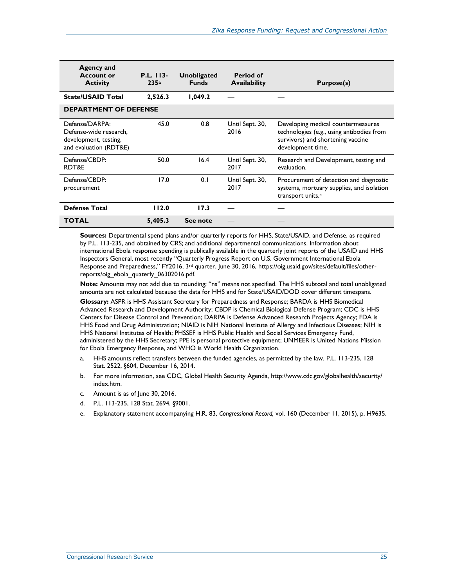| Agency and<br><b>Account or</b><br><b>Activity</b>                                          | P.L. 113-<br>235a | <b>Unobligated</b><br><b>Funds</b> | <b>Period of</b><br><b>Availability</b> | Purpose(s)                                                                                                                                |
|---------------------------------------------------------------------------------------------|-------------------|------------------------------------|-----------------------------------------|-------------------------------------------------------------------------------------------------------------------------------------------|
| <b>State/USAID Total</b>                                                                    | 2,526.3           | 1,049.2                            |                                         |                                                                                                                                           |
| <b>DEPARTMENT OF DEFENSE</b>                                                                |                   |                                    |                                         |                                                                                                                                           |
| Defense/DARPA:<br>Defense-wide research.<br>development, testing,<br>and evaluation (RDT&E) | 45.0              | 0.8                                | Until Sept. 30,<br>2016                 | Developing medical countermeasures<br>technologies (e.g., using antibodies from<br>survivors) and shortening vaccine<br>development time. |
| Defense/CBDP:<br>RDT&E                                                                      | 50.0              | 16.4                               | Until Sept. 30,<br>2017                 | Research and Development, testing and<br>evaluation.                                                                                      |
| Defense/CBDP:<br>procurement                                                                | 17.0              | 0.1                                | Until Sept. 30,<br>2017                 | Procurement of detection and diagnostic<br>systems, mortuary supplies, and isolation<br>transport units. <sup>e</sup>                     |
| <b>Defense Total</b>                                                                        | 112.0             | 17.3                               |                                         |                                                                                                                                           |
| <b>TOTAL</b>                                                                                | 5,405.3           | See note                           |                                         |                                                                                                                                           |

**Sources:** Departmental spend plans and/or quarterly reports for HHS, State/USAID, and Defense, as required by [P.L. 113-235,](http://www.congress.gov/cgi-lis/bdquery/R?d113:FLD002:@1(113+235)) and obtained by CRS; and additional departmental communications. Information about international Ebola response spending is publically available in the quarterly joint reports of the USAID and HHS Inspectors General, most recently "Quarterly Progress Report on U.S. Government International Ebola Response and Preparedness," FY2016, 3rd quarter, June 30, 2016, https://oig.usaid.gov/sites/default/files/otherreports/oig\_ebola\_quaterly\_06302016.pdf.

**Note:** Amounts may not add due to rounding; "ns" means not specified. The HHS subtotal and total unobligated amounts are not calculated because the data for HHS and for State/USAID/DOD cover different timespans.

**Glossary:** ASPR is HHS Assistant Secretary for Preparedness and Response; BARDA is HHS Biomedical Advanced Research and Development Authority; CBDP is Chemical Biological Defense Program; CDC is HHS Centers for Disease Control and Prevention; DARPA is Defense Advanced Research Projects Agency; FDA is HHS Food and Drug Administration; NIAID is NIH National Institute of Allergy and Infectious Diseases; NIH is HHS National Institutes of Health; PHSSEF is HHS Public Health and Social Services Emergency Fund, administered by the HHS Secretary; PPE is personal protective equipment; UNMEER is United Nations Mission for Ebola Emergency Response, and WHO is World Health Organization.

- <span id="page-28-0"></span>a. HHS amounts reflect transfers between the funded agencies, as permitted by the law. P.L. 113-235, 128 Stat. 2522, §604, December 16, 2014.
- <span id="page-28-1"></span>b. For more information, see CDC, Global Health Security Agenda, [http://www.cdc.gov/globalhealth/security/](http://www.cdc.gov/globalhealth/security/index.htm) [index.htm.](http://www.cdc.gov/globalhealth/security/index.htm)
- <span id="page-28-2"></span>c. Amount is as of June 30, 2016.
- <span id="page-28-3"></span>d. P.L. 113-235, 128 Stat. 2694, §9001.
- <span id="page-28-4"></span>e. Explanatory statement accompanying H.R. 83, *Congressional Record,* vol. 160 (December 11, 2015), p. H9635.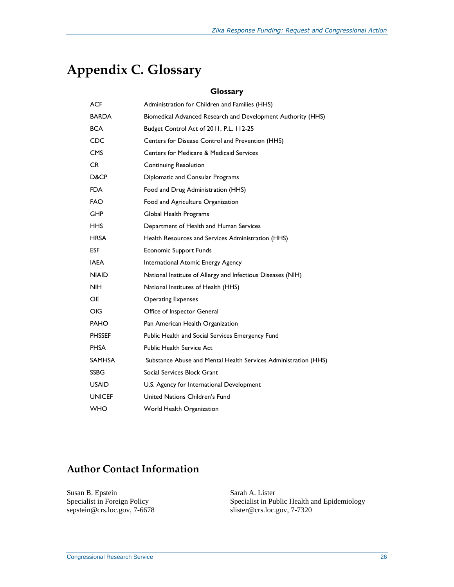## <span id="page-29-1"></span><span id="page-29-0"></span>**Appendix C. Glossary**

#### **Glossary**

| ACF           | Administration for Children and Families (HHS)                  |
|---------------|-----------------------------------------------------------------|
| <b>BARDA</b>  | Biomedical Advanced Research and Development Authority (HHS)    |
| <b>BCA</b>    | Budget Control Act of 2011, P.L. 112-25                         |
| CDC           | Centers for Disease Control and Prevention (HHS)                |
| <b>CMS</b>    | Centers for Medicare & Medicaid Services                        |
| CR.           | <b>Continuing Resolution</b>                                    |
| D&CP          | Diplomatic and Consular Programs                                |
| FDA.          | Food and Drug Administration (HHS)                              |
| <b>FAO</b>    | Food and Agriculture Organization                               |
| GHP           | Global Health Programs                                          |
| HHS.          | Department of Health and Human Services                         |
| <b>HRSA</b>   | Health Resources and Services Administration (HHS)              |
| <b>ESF</b>    | <b>Economic Support Funds</b>                                   |
| <b>IAEA</b>   | International Atomic Energy Agency                              |
| <b>NIAID</b>  | National Institute of Allergy and Infectious Diseases (NIH)     |
| <b>NIH</b>    | National Institutes of Health (HHS)                             |
| <b>OE</b>     | <b>Operating Expenses</b>                                       |
| OIG           | Office of Inspector General                                     |
| <b>PAHO</b>   | Pan American Health Organization                                |
| <b>PHSSEF</b> | Public Health and Social Services Emergency Fund                |
| PHSA          | <b>Public Health Service Act</b>                                |
| <b>SAMHSA</b> | Substance Abuse and Mental Health Services Administration (HHS) |
| <b>SSBG</b>   | Social Services Block Grant                                     |
| <b>USAID</b>  | U.S. Agency for International Development                       |
| <b>UNICEF</b> | United Nations Children's Fund                                  |
| <b>WHO</b>    | World Health Organization                                       |

### **Author Contact Information**

Susan B. Epstein Specialist in Foreign Policy sepstein@crs.loc.gov, 7-6678 Sarah A. Lister Specialist in Public Health and Epidemiology [slister@crs.loc.gov,](mailto:slister@crs.loc.gov) 7-7320